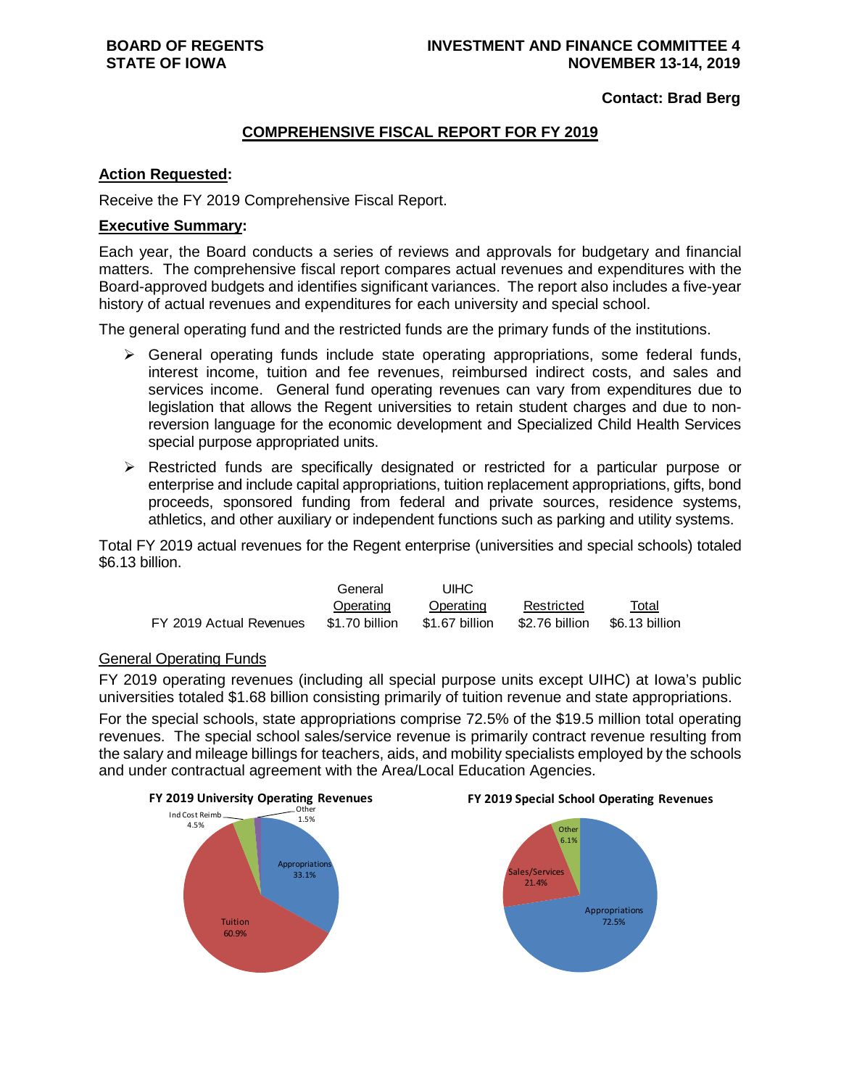**Contact: Brad Berg**

## **COMPREHENSIVE FISCAL REPORT FOR FY 2019**

## **Action Requested:**

Receive the FY 2019 Comprehensive Fiscal Report.

### **Executive Summary:**

Each year, the Board conducts a series of reviews and approvals for budgetary and financial matters. The comprehensive fiscal report compares actual revenues and expenditures with the Board-approved budgets and identifies significant variances. The report also includes a five-year history of actual revenues and expenditures for each university and special school.

The general operating fund and the restricted funds are the primary funds of the institutions.

- $\triangleright$  General operating funds include state operating appropriations, some federal funds, interest income, tuition and fee revenues, reimbursed indirect costs, and sales and services income. General fund operating revenues can vary from expenditures due to legislation that allows the Regent universities to retain student charges and due to nonreversion language for the economic development and Specialized Child Health Services special purpose appropriated units.
- $\triangleright$  Restricted funds are specifically designated or restricted for a particular purpose or enterprise and include capital appropriations, tuition replacement appropriations, gifts, bond proceeds, sponsored funding from federal and private sources, residence systems, athletics, and other auxiliary or independent functions such as parking and utility systems.

Total FY 2019 actual revenues for the Regent enterprise (universities and special schools) totaled \$6.13 billion.

|                         | General        | UIHC           |                |                |
|-------------------------|----------------|----------------|----------------|----------------|
|                         | Operating      | Operating      | Restricted     | Total          |
| FY 2019 Actual Revenues | \$1.70 billion | \$1.67 billion | \$2.76 billion | \$6.13 billion |

## General Operating Funds

FY 2019 operating revenues (including all special purpose units except UIHC) at Iowa's public universities totaled \$1.68 billion consisting primarily of tuition revenue and state appropriations.

For the special schools, state appropriations comprise 72.5% of the \$19.5 million total operating revenues. The special school sales/service revenue is primarily contract revenue resulting from the salary and mileage billings for teachers, aids, and mobility specialists employed by the schools and under contractual agreement with the Area/Local Education Agencies.





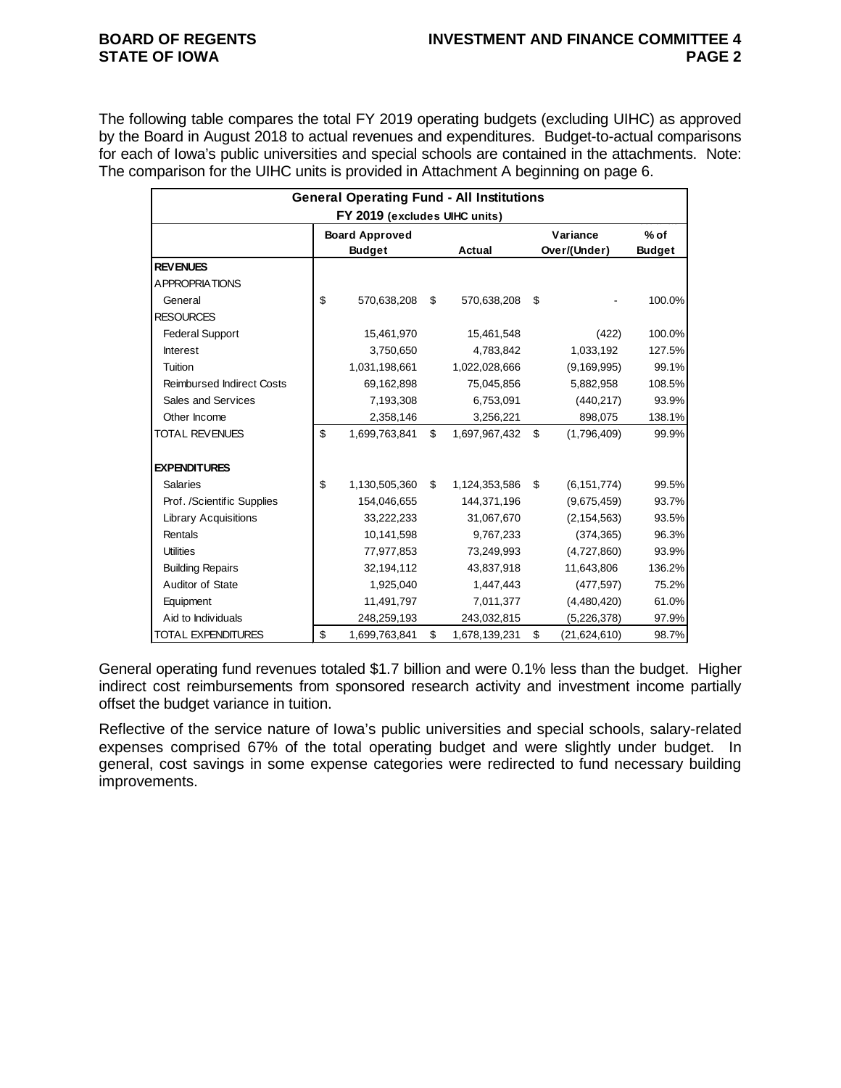The following table compares the total FY 2019 operating budgets (excluding UIHC) as approved by the Board in August 2018 to actual revenues and expenditures. Budget-to-actual comparisons for each of Iowa's public universities and special schools are contained in the attachments. Note: The comparison for the UIHC units is provided in Attachment A beginning on page 6.

|                                  | <b>General Operating Fund - All Institutions</b> |                     |                     |        |
|----------------------------------|--------------------------------------------------|---------------------|---------------------|--------|
|                                  | FY 2019 (excludes UIHC units)                    |                     |                     |        |
|                                  | <b>Board Approved</b>                            |                     | Variance            | $%$ of |
|                                  | <b>Budget</b>                                    | <b>Actual</b>       | Over/(Under)        | Budget |
| <b>REVENUES</b>                  |                                                  |                     |                     |        |
| <b>APPROPRIATIONS</b>            |                                                  |                     |                     |        |
| General                          | \$<br>570,638,208                                | \$<br>570,638,208   | \$                  | 100.0% |
| <b>RESOURCES</b>                 |                                                  |                     |                     |        |
| <b>Federal Support</b>           | 15,461,970                                       | 15,461,548          | (422)               | 100.0% |
| <b>Interest</b>                  | 3,750,650                                        | 4,783,842           | 1,033,192           | 127.5% |
| Tuition                          | 1,031,198,661                                    | 1,022,028,666       | (9, 169, 995)       | 99.1%  |
| <b>Reimbursed Indirect Costs</b> | 69,162,898                                       | 75,045,856          | 5,882,958           | 108.5% |
| Sales and Services               | 7,193,308                                        | 6,753,091           | (440, 217)          | 93.9%  |
| Other Income                     | 2,358,146                                        | 3,256,221           | 898,075             | 138.1% |
| <b>TOTAL REVENUES</b>            | \$<br>1,699,763,841                              | \$<br>1,697,967,432 | \$<br>(1,796,409)   | 99.9%  |
| <b>EXPENDITURES</b>              |                                                  |                     |                     |        |
| <b>Salaries</b>                  | \$<br>1,130,505,360                              | \$<br>1,124,353,586 | \$<br>(6, 151, 774) | 99.5%  |
| Prof. /Scientific Supplies       | 154,046,655                                      | 144,371,196         | (9,675,459)         | 93.7%  |
| <b>Library Acquisitions</b>      | 33,222,233                                       | 31,067,670          | (2, 154, 563)       | 93.5%  |
| Rentals                          | 10,141,598                                       | 9,767,233           | (374, 365)          | 96.3%  |
| <b>Utilities</b>                 | 77,977,853                                       | 73,249,993          | (4,727,860)         | 93.9%  |
| <b>Building Repairs</b>          | 32,194,112                                       | 43,837,918          | 11,643,806          | 136.2% |
| Auditor of State                 | 1,925,040                                        | 1,447,443           | (477, 597)          | 75.2%  |
| Equipment                        | 11,491,797                                       | 7,011,377           | (4,480,420)         | 61.0%  |
| Aid to Individuals               | 248,259,193                                      | 243,032,815         | (5,226,378)         | 97.9%  |
| <b>TOTAL EXPENDITURES</b>        | \$<br>1,699,763,841                              | \$<br>1,678,139,231 | \$<br>(21,624,610)  | 98.7%  |

General operating fund revenues totaled \$1.7 billion and were 0.1% less than the budget. Higher indirect cost reimbursements from sponsored research activity and investment income partially offset the budget variance in tuition.

Reflective of the service nature of Iowa's public universities and special schools, salary-related expenses comprised 67% of the total operating budget and were slightly under budget. In general, cost savings in some expense categories were redirected to fund necessary building improvements.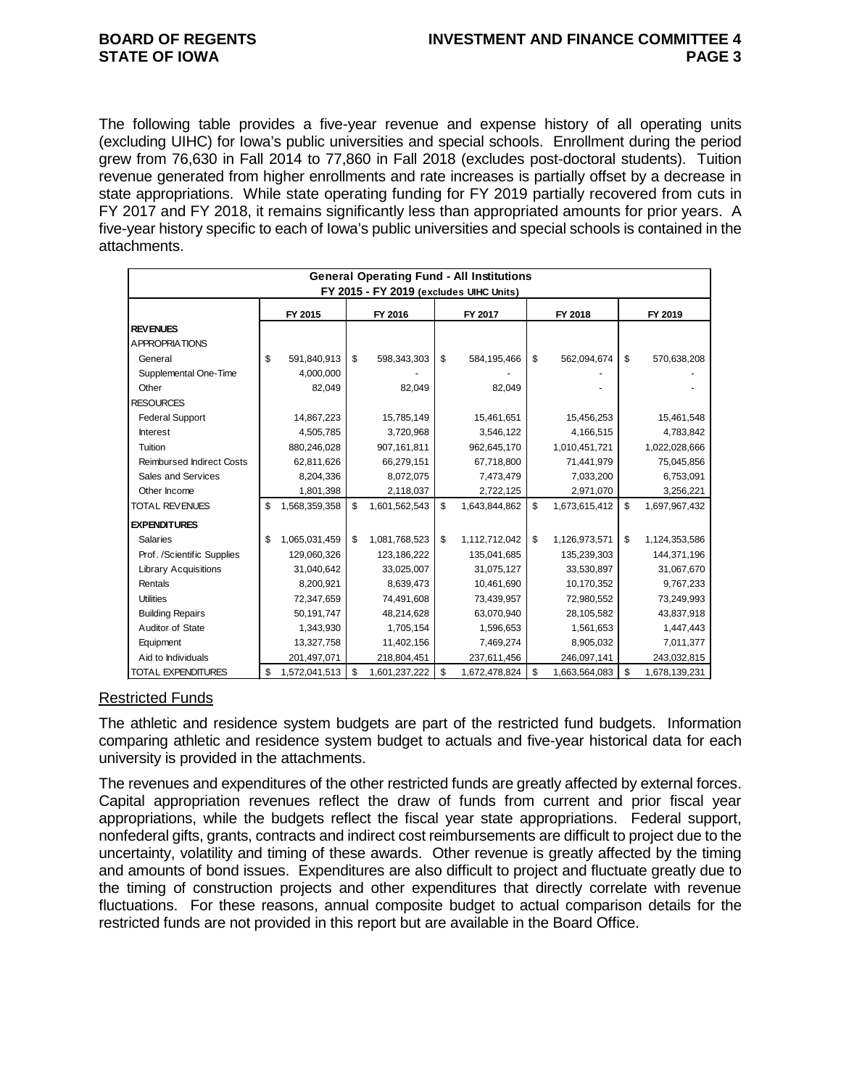The following table provides a five-year revenue and expense history of all operating units (excluding UIHC) for Iowa's public universities and special schools. Enrollment during the period grew from 76,630 in Fall 2014 to 77,860 in Fall 2018 (excludes post-doctoral students). Tuition revenue generated from higher enrollments and rate increases is partially offset by a decrease in state appropriations. While state operating funding for FY 2019 partially recovered from cuts in FY 2017 and FY 2018, it remains significantly less than appropriated amounts for prior years. A five-year history specific to each of Iowa's public universities and special schools is contained in the attachments.

| <b>General Operating Fund - All Institutions</b><br>FY 2015 - FY 2019 (excludes UIHC Units) |    |               |    |               |    |               |    |               |    |               |
|---------------------------------------------------------------------------------------------|----|---------------|----|---------------|----|---------------|----|---------------|----|---------------|
|                                                                                             |    | FY 2015       |    | FY 2016       |    | FY 2017       |    | FY 2018       |    | FY 2019       |
| <b>REVENUES</b>                                                                             |    |               |    |               |    |               |    |               |    |               |
| <b>APPROPRIATIONS</b>                                                                       |    |               |    |               |    |               |    |               |    |               |
| General                                                                                     | \$ | 591,840,913   | \$ | 598,343,303   | \$ | 584,195,466   | \$ | 562,094,674   | \$ | 570,638,208   |
| Supplemental One-Time                                                                       |    | 4,000,000     |    |               |    |               |    |               |    |               |
| Other                                                                                       |    | 82,049        |    | 82,049        |    | 82,049        |    |               |    |               |
| <b>RESOURCES</b>                                                                            |    |               |    |               |    |               |    |               |    |               |
| <b>Federal Support</b>                                                                      |    | 14,867,223    |    | 15,785,149    |    | 15,461,651    |    | 15,456,253    |    | 15,461,548    |
| <b>Interest</b>                                                                             |    | 4,505,785     |    | 3,720,968     |    | 3,546,122     |    | 4,166,515     |    | 4,783,842     |
| Tuition                                                                                     |    | 880,246,028   |    | 907,161,811   |    | 962,645,170   |    | 1,010,451,721 |    | 1,022,028,666 |
| <b>Reimbursed Indirect Costs</b>                                                            |    | 62,811,626    |    | 66,279,151    |    | 67,718,800    |    | 71,441,979    |    | 75,045,856    |
| Sales and Services                                                                          |    | 8,204,336     |    | 8,072,075     |    | 7,473,479     |    | 7,033,200     |    | 6,753,091     |
| Other Income                                                                                |    | 1,801,398     |    | 2,118,037     |    | 2,722,125     |    | 2,971,070     |    | 3,256,221     |
| <b>TOTAL REVENUES</b>                                                                       | \$ | 1,568,359,358 | \$ | 1,601,562,543 | \$ | 1,643,844,862 | \$ | 1,673,615,412 | \$ | 1,697,967,432 |
| <b>EXPENDITURES</b>                                                                         |    |               |    |               |    |               |    |               |    |               |
| <b>Salaries</b>                                                                             | \$ | 1,065,031,459 | \$ | 1,081,768,523 | \$ | 1,112,712,042 | \$ | 1,126,973,571 | \$ | 1,124,353,586 |
| Prof. /Scientific Supplies                                                                  |    | 129,060,326   |    | 123,186,222   |    | 135,041,685   |    | 135,239,303   |    | 144,371,196   |
| <b>Library Acquisitions</b>                                                                 |    | 31,040,642    |    | 33,025,007    |    | 31,075,127    |    | 33,530,897    |    | 31,067,670    |
| Rentals                                                                                     |    | 8,200,921     |    | 8,639,473     |    | 10,461,690    |    | 10,170,352    |    | 9,767,233     |
| <b>Utilities</b>                                                                            |    | 72,347,659    |    | 74,491,608    |    | 73,439,957    |    | 72,980,552    |    | 73,249,993    |
| <b>Building Repairs</b>                                                                     |    | 50,191,747    |    | 48,214,628    |    | 63,070,940    |    | 28,105,582    |    | 43,837,918    |
| Auditor of State                                                                            |    | 1,343,930     |    | 1,705,154     |    | 1,596,653     |    | 1,561,653     |    | 1,447,443     |
| Equipment                                                                                   |    | 13,327,758    |    | 11,402,156    |    | 7,469,274     |    | 8,905,032     |    | 7,011,377     |
| Aid to Individuals                                                                          |    | 201,497,071   |    | 218,804,451   |    | 237,611,456   |    | 246,097,141   |    | 243,032,815   |
| <b>TOTAL EXPENDITURES</b>                                                                   | \$ | 1,572,041,513 | \$ | 1,601,237,222 | \$ | 1,672,478,824 | \$ | 1,663,564,083 | \$ | 1,678,139,231 |

## Restricted Funds

The athletic and residence system budgets are part of the restricted fund budgets. Information comparing athletic and residence system budget to actuals and five-year historical data for each university is provided in the attachments.

The revenues and expenditures of the other restricted funds are greatly affected by external forces. Capital appropriation revenues reflect the draw of funds from current and prior fiscal year appropriations, while the budgets reflect the fiscal year state appropriations. Federal support, nonfederal gifts, grants, contracts and indirect cost reimbursements are difficult to project due to the uncertainty, volatility and timing of these awards. Other revenue is greatly affected by the timing and amounts of bond issues. Expenditures are also difficult to project and fluctuate greatly due to the timing of construction projects and other expenditures that directly correlate with revenue fluctuations. For these reasons, annual composite budget to actual comparison details for the restricted funds are not provided in this report but are available in the Board Office.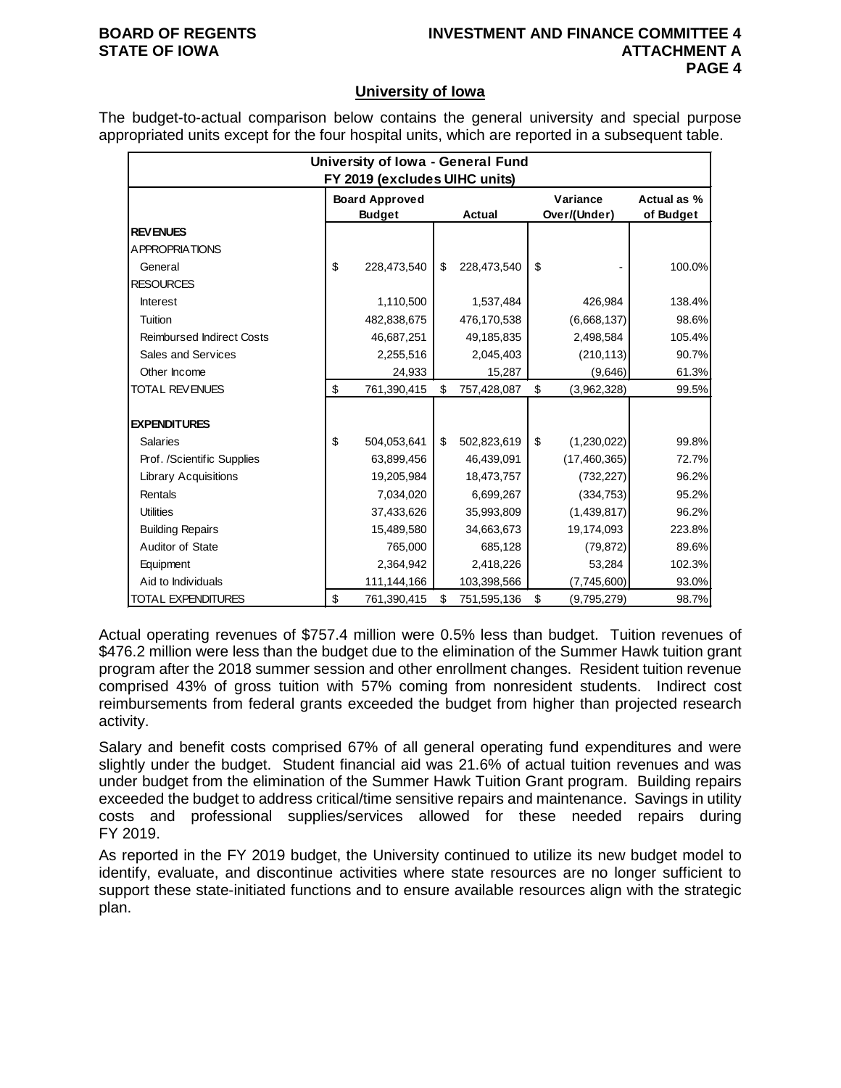## **BOARD OF REGENTS INVESTMENT AND FINANCE COMMITTEE 4 STATE OF IOWA ATTACHMENT A PAGE 4**

## **University of Iowa**

The budget-to-actual comparison below contains the general university and special purpose appropriated units except for the four hospital units, which are reported in a subsequent table.

|                                  | University of Iowa - General Fund |                               |    |             |    |                |             |  |  |  |
|----------------------------------|-----------------------------------|-------------------------------|----|-------------|----|----------------|-------------|--|--|--|
|                                  |                                   | FY 2019 (excludes UIHC units) |    |             |    |                |             |  |  |  |
|                                  |                                   | <b>Board Approved</b>         |    |             |    | Variance       | Actual as % |  |  |  |
|                                  |                                   | <b>Budget</b>                 |    | Actual      |    | Over/(Under)   | of Budget   |  |  |  |
| <b>REVENUES</b>                  |                                   |                               |    |             |    |                |             |  |  |  |
| <b>APPROPRIATIONS</b>            |                                   |                               |    |             |    |                |             |  |  |  |
| General                          | \$                                | 228,473,540                   | \$ | 228,473,540 | \$ |                | 100.0%      |  |  |  |
| <b>RESOURCES</b>                 |                                   |                               |    |             |    |                |             |  |  |  |
| <b>Interest</b>                  |                                   | 1,110,500                     |    | 1,537,484   |    | 426,984        | 138.4%      |  |  |  |
| Tuition                          |                                   | 482,838,675                   |    | 476,170,538 |    | (6,668,137)    | 98.6%       |  |  |  |
| <b>Reimbursed Indirect Costs</b> |                                   | 46,687,251                    |    | 49,185,835  |    | 2,498,584      | 105.4%      |  |  |  |
| Sales and Services               |                                   | 2,255,516                     |    | 2,045,403   |    | (210, 113)     | 90.7%       |  |  |  |
| Other Income                     |                                   | 24,933                        |    | 15,287      |    | (9,646)        | 61.3%       |  |  |  |
| <b>TOTAL REVENUES</b>            | \$                                | 761,390,415                   | \$ | 757,428,087 | \$ | (3,962,328)    | 99.5%       |  |  |  |
|                                  |                                   |                               |    |             |    |                |             |  |  |  |
| <b>EXPENDITURES</b>              |                                   |                               |    |             |    |                |             |  |  |  |
| <b>Salaries</b>                  | \$                                | 504,053,641                   | \$ | 502,823,619 | \$ | (1,230,022)    | 99.8%       |  |  |  |
| Prof. /Scientific Supplies       |                                   | 63,899,456                    |    | 46,439,091  |    | (17, 460, 365) | 72.7%       |  |  |  |
| <b>Library Acquisitions</b>      |                                   | 19,205,984                    |    | 18,473,757  |    | (732, 227)     | 96.2%       |  |  |  |
| Rentals                          |                                   | 7,034,020                     |    | 6,699,267   |    | (334, 753)     | 95.2%       |  |  |  |
| <b>Utilities</b>                 |                                   | 37,433,626                    |    | 35,993,809  |    | (1,439,817)    | 96.2%       |  |  |  |
| <b>Building Repairs</b>          |                                   | 15,489,580                    |    | 34,663,673  |    | 19,174,093     | 223.8%      |  |  |  |
| Auditor of State                 |                                   | 765,000                       |    | 685,128     |    | (79, 872)      | 89.6%       |  |  |  |
| Equipment                        |                                   | 2,364,942                     |    | 2,418,226   |    | 53,284         | 102.3%      |  |  |  |
| Aid to Individuals               |                                   | 111,144,166                   |    | 103,398,566 |    | (7,745,600)    | 93.0%       |  |  |  |
| <b>TOTAL EXPENDITURES</b>        | \$                                | 761,390,415                   | \$ | 751,595,136 | \$ | (9,795,279)    | 98.7%       |  |  |  |

Actual operating revenues of \$757.4 million were 0.5% less than budget. Tuition revenues of \$476.2 million were less than the budget due to the elimination of the Summer Hawk tuition grant program after the 2018 summer session and other enrollment changes. Resident tuition revenue comprised 43% of gross tuition with 57% coming from nonresident students. Indirect cost reimbursements from federal grants exceeded the budget from higher than projected research activity.

Salary and benefit costs comprised 67% of all general operating fund expenditures and were slightly under the budget. Student financial aid was 21.6% of actual tuition revenues and was under budget from the elimination of the Summer Hawk Tuition Grant program. Building repairs exceeded the budget to address critical/time sensitive repairs and maintenance. Savings in utility costs and professional supplies/services allowed for these needed repairs during FY 2019.

As reported in the FY 2019 budget, the University continued to utilize its new budget model to identify, evaluate, and discontinue activities where state resources are no longer sufficient to support these state-initiated functions and to ensure available resources align with the strategic plan.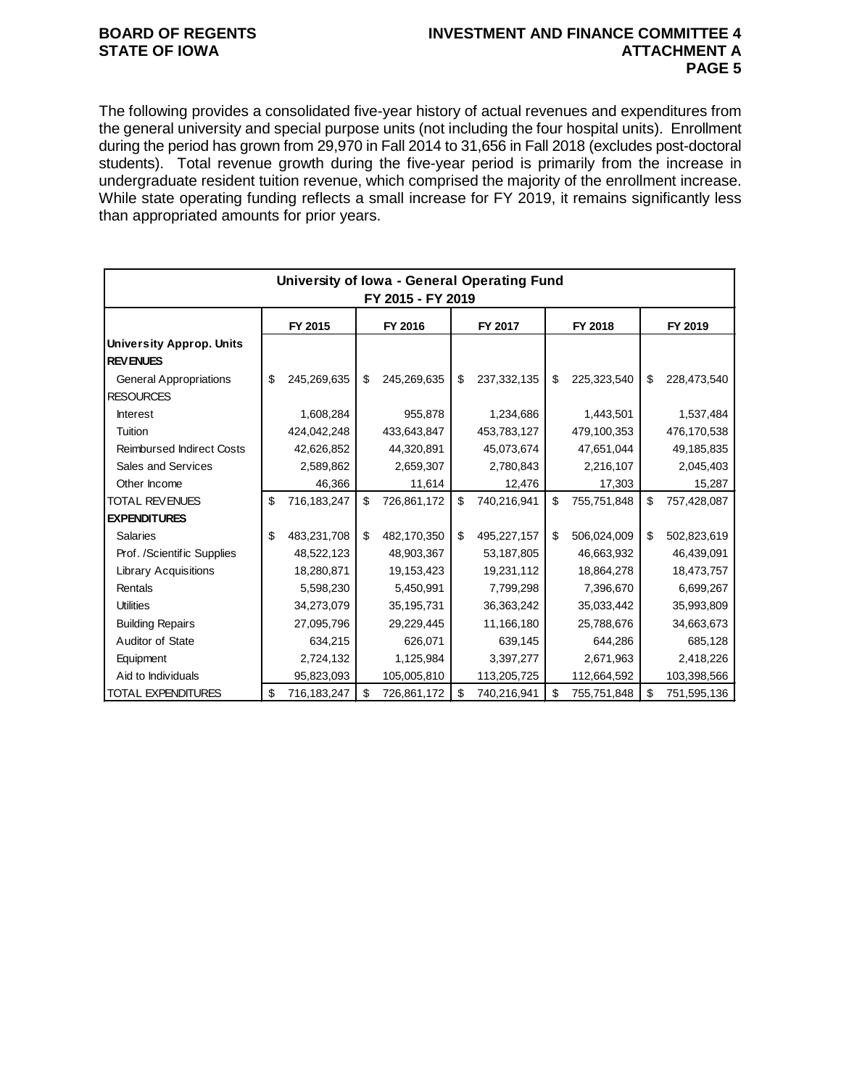## **BOARD OF REGENTS INVESTMENT AND FINANCE COMMITTEE 4 PAGE 5**

The following provides a consolidated five-year history of actual revenues and expenditures from the general university and special purpose units (not including the four hospital units). Enrollment during the period has grown from 29,970 in Fall 2014 to 31,656 in Fall 2018 (excludes post-doctoral students). Total revenue growth during the five-year period is primarily from the increase in undergraduate resident tuition revenue, which comprised the majority of the enrollment increase. While state operating funding reflects a small increase for FY 2019, it remains significantly less than appropriated amounts for prior years.

|                                  | University of Iowa - General Operating Fund |             |    |             |    |             |    |             |    |             |  |
|----------------------------------|---------------------------------------------|-------------|----|-------------|----|-------------|----|-------------|----|-------------|--|
| FY 2015 - FY 2019                |                                             |             |    |             |    |             |    |             |    |             |  |
|                                  |                                             | FY 2015     |    | FY 2016     |    | FY 2017     |    | FY 2018     |    | FY 2019     |  |
| <b>University Approp. Units</b>  |                                             |             |    |             |    |             |    |             |    |             |  |
| <b>REVENUES</b>                  |                                             |             |    |             |    |             |    |             |    |             |  |
| <b>General Appropriations</b>    | \$                                          | 245,269,635 | \$ | 245,269,635 | \$ | 237,332,135 | \$ | 225,323,540 | \$ | 228,473,540 |  |
| <b>RESOURCES</b>                 |                                             |             |    |             |    |             |    |             |    |             |  |
| <b>Interest</b>                  |                                             | 1,608,284   |    | 955,878     |    | 1,234,686   |    | 1,443,501   |    | 1,537,484   |  |
| Tuition                          |                                             | 424,042,248 |    | 433,643,847 |    | 453,783,127 |    | 479,100,353 |    | 476,170,538 |  |
| <b>Reimbursed Indirect Costs</b> |                                             | 42,626,852  |    | 44,320,891  |    | 45,073,674  |    | 47,651,044  |    | 49,185,835  |  |
| Sales and Services               |                                             | 2,589,862   |    | 2,659,307   |    | 2,780,843   |    | 2,216,107   |    | 2,045,403   |  |
| Other Income                     |                                             | 46,366      |    | 11,614      |    | 12,476      |    | 17,303      |    | 15,287      |  |
| <b>TOTAL REVENUES</b>            | \$                                          | 716,183,247 | \$ | 726,861,172 | \$ | 740,216,941 | \$ | 755,751,848 | \$ | 757,428,087 |  |
| <b>EXPENDITURES</b>              |                                             |             |    |             |    |             |    |             |    |             |  |
| <b>Salaries</b>                  | \$                                          | 483,231,708 | \$ | 482,170,350 | \$ | 495,227,157 | \$ | 506,024,009 | \$ | 502,823,619 |  |
| Prof. /Scientific Supplies       |                                             | 48,522,123  |    | 48,903,367  |    | 53,187,805  |    | 46,663,932  |    | 46,439,091  |  |
| <b>Library Acquisitions</b>      |                                             | 18,280,871  |    | 19,153,423  |    | 19,231,112  |    | 18,864,278  |    | 18,473,757  |  |
| Rentals                          |                                             | 5,598,230   |    | 5,450,991   |    | 7,799,298   |    | 7,396,670   |    | 6,699,267   |  |
| <b>Utilities</b>                 |                                             | 34,273,079  |    | 35,195,731  |    | 36,363,242  |    | 35,033,442  |    | 35,993,809  |  |
| <b>Building Repairs</b>          |                                             | 27,095,796  |    | 29,229,445  |    | 11,166,180  |    | 25,788,676  |    | 34,663,673  |  |
| Auditor of State                 |                                             | 634,215     |    | 626,071     |    | 639,145     |    | 644,286     |    | 685,128     |  |
| Equipment                        |                                             | 2,724,132   |    | 1,125,984   |    | 3,397,277   |    | 2,671,963   |    | 2,418,226   |  |
| Aid to Individuals               |                                             | 95,823,093  |    | 105,005,810 |    | 113,205,725 |    | 112,664,592 |    | 103,398,566 |  |
| <b>TOTAL EXPENDITURES</b>        | \$                                          | 716,183,247 | \$ | 726,861,172 | \$ | 740,216,941 | \$ | 755,751,848 | \$ | 751,595,136 |  |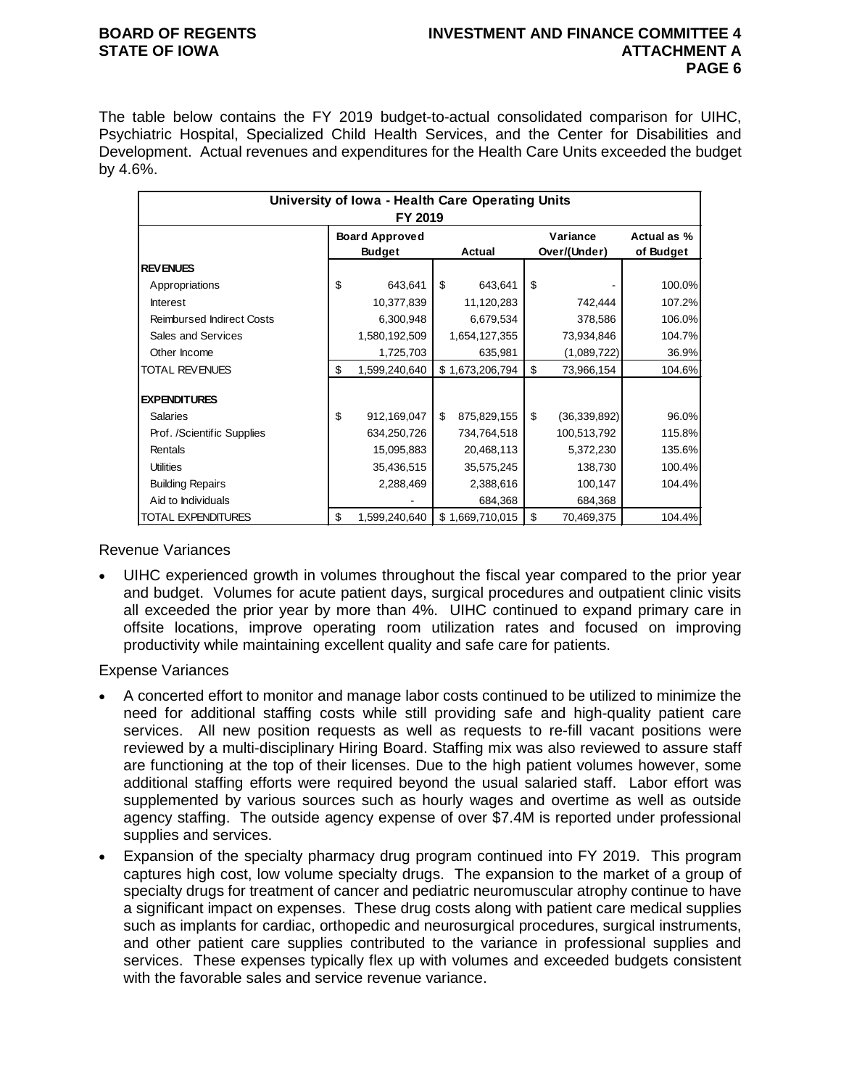## **BOARD OF REGENTS INVESTMENT AND FINANCE COMMITTEE 4 STATE OF IOWA ATTACHMENT A PAGE 6**

The table below contains the FY 2019 budget-to-actual consolidated comparison for UIHC, Psychiatric Hospital, Specialized Child Health Services, and the Center for Disabilities and Development. Actual revenues and expenditures for the Health Care Units exceeded the budget by 4.6%.

| University of Iowa - Health Care Operating Units<br>FY 2019 |    |                       |    |                 |    |                |             |  |  |
|-------------------------------------------------------------|----|-----------------------|----|-----------------|----|----------------|-------------|--|--|
|                                                             |    | <b>Board Approved</b> |    |                 |    | Variance       | Actual as % |  |  |
|                                                             |    | <b>Budget</b>         |    | Actual          |    | Over/(Under)   | of Budget   |  |  |
| <b>REVENUES</b>                                             |    |                       |    |                 |    |                |             |  |  |
| Appropriations                                              | \$ | 643,641               | \$ | 643,641         | \$ |                | 100.0%      |  |  |
| <b>Interest</b>                                             |    | 10,377,839            |    | 11,120,283      |    | 742,444        | 107.2%      |  |  |
| <b>Reimbursed Indirect Costs</b>                            |    | 6,300,948             |    | 6,679,534       |    | 378,586        | 106.0%      |  |  |
| Sales and Services                                          |    | 1,580,192,509         |    | 1,654,127,355   |    | 73,934,846     | 104.7%      |  |  |
| Other Income                                                |    | 1,725,703             |    | 635,981         |    | (1,089,722)    | 36.9%       |  |  |
| <b>TOTAL REVENUES</b>                                       | \$ | 1,599,240,640         |    | \$1,673,206,794 | \$ | 73,966,154     | 104.6%      |  |  |
| <b>EXPENDITURES</b>                                         |    |                       |    |                 |    |                |             |  |  |
| <b>Salaries</b>                                             | \$ | 912,169,047           | \$ | 875,829,155     | \$ | (36, 339, 892) | 96.0%       |  |  |
| Prof. /Scientific Supplies                                  |    | 634,250,726           |    | 734,764,518     |    | 100,513,792    | 115.8%      |  |  |
| Rentals                                                     |    | 15,095,883            |    | 20,468,113      |    | 5,372,230      | 135.6%      |  |  |
| <b>Utilities</b>                                            |    | 35,436,515            |    | 35,575,245      |    | 138,730        | 100.4%      |  |  |
| <b>Building Repairs</b>                                     |    | 2,288,469             |    | 2,388,616       |    | 100,147        | 104.4%      |  |  |
| Aid to Individuals                                          |    |                       |    | 684,368         |    | 684,368        |             |  |  |
| TOTAL EXPENDITURES                                          | \$ | 1,599,240,640         |    | \$1,669,710,015 | \$ | 70,469,375     | 104.4%      |  |  |

Revenue Variances

• UIHC experienced growth in volumes throughout the fiscal year compared to the prior year and budget. Volumes for acute patient days, surgical procedures and outpatient clinic visits all exceeded the prior year by more than 4%. UIHC continued to expand primary care in offsite locations, improve operating room utilization rates and focused on improving productivity while maintaining excellent quality and safe care for patients.

Expense Variances

- A concerted effort to monitor and manage labor costs continued to be utilized to minimize the need for additional staffing costs while still providing safe and high-quality patient care services. All new position requests as well as requests to re-fill vacant positions were reviewed by a multi-disciplinary Hiring Board. Staffing mix was also reviewed to assure staff are functioning at the top of their licenses. Due to the high patient volumes however, some additional staffing efforts were required beyond the usual salaried staff. Labor effort was supplemented by various sources such as hourly wages and overtime as well as outside agency staffing. The outside agency expense of over \$7.4M is reported under professional supplies and services.
- Expansion of the specialty pharmacy drug program continued into FY 2019. This program captures high cost, low volume specialty drugs. The expansion to the market of a group of specialty drugs for treatment of cancer and pediatric neuromuscular atrophy continue to have a significant impact on expenses. These drug costs along with patient care medical supplies such as implants for cardiac, orthopedic and neurosurgical procedures, surgical instruments, and other patient care supplies contributed to the variance in professional supplies and services. These expenses typically flex up with volumes and exceeded budgets consistent with the favorable sales and service revenue variance.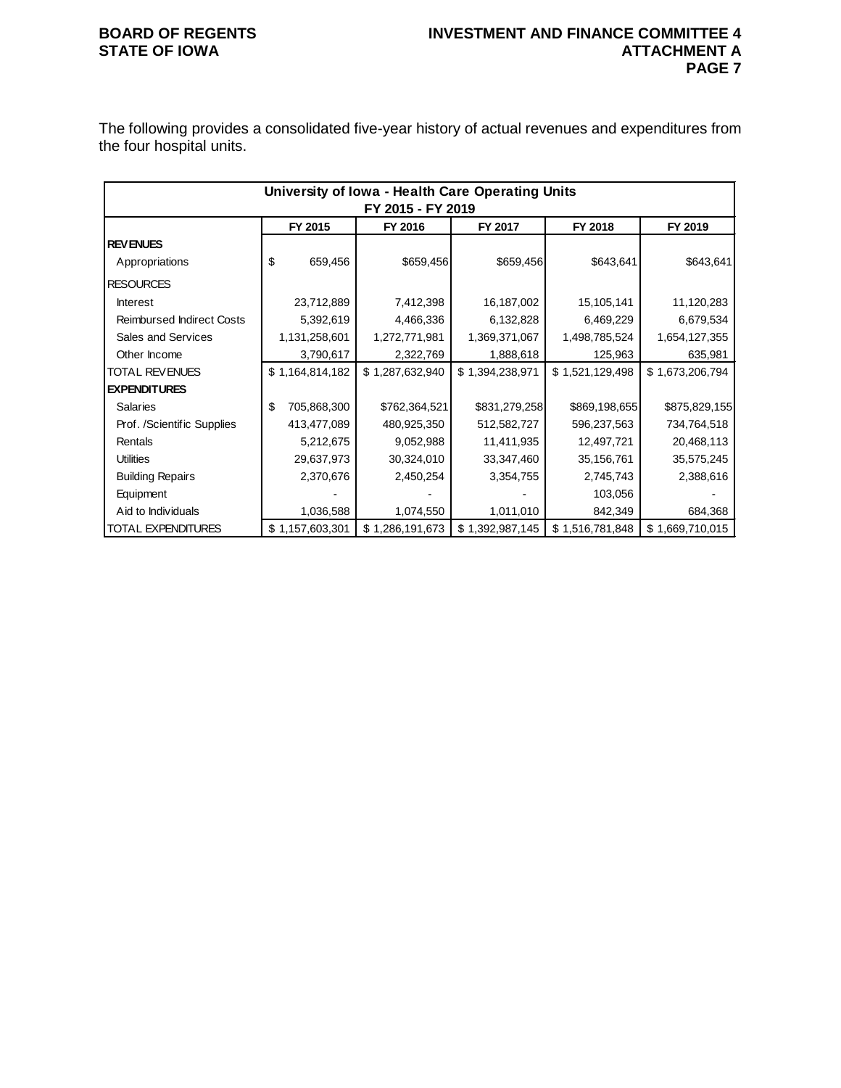The following provides a consolidated five-year history of actual revenues and expenditures from the four hospital units.

|                                  | University of Iowa - Health Care Operating Units |                 |                   |                 |                 |                 |  |  |  |  |
|----------------------------------|--------------------------------------------------|-----------------|-------------------|-----------------|-----------------|-----------------|--|--|--|--|
|                                  |                                                  |                 | FY 2015 - FY 2019 |                 |                 |                 |  |  |  |  |
|                                  |                                                  | FY 2015         | FY 2016           | FY 2017         | FY 2018         | FY 2019         |  |  |  |  |
| <b>REVENUES</b>                  |                                                  |                 |                   |                 |                 |                 |  |  |  |  |
| Appropriations                   | \$                                               | 659,456         | \$659,456         | \$659,456       | \$643,641       | \$643,641       |  |  |  |  |
| <b>RESOURCES</b>                 |                                                  |                 |                   |                 |                 |                 |  |  |  |  |
| <b>Interest</b>                  |                                                  | 23,712,889      | 7,412,398         | 16,187,002      | 15,105,141      | 11,120,283      |  |  |  |  |
| <b>Reimbursed Indirect Costs</b> |                                                  | 5,392,619       | 4,466,336         | 6,132,828       | 6,469,229       | 6,679,534       |  |  |  |  |
| Sales and Services               |                                                  | 1,131,258,601   | 1,272,771,981     | 1,369,371,067   | 1,498,785,524   | 1,654,127,355   |  |  |  |  |
| Other Income                     |                                                  | 3,790,617       | 2,322,769         | 1,888,618       | 125,963         | 635,981         |  |  |  |  |
| <b>TOTAL REVENUES</b>            |                                                  | \$1,164,814,182 | \$1,287,632,940   | \$1,394,238,971 | \$1,521,129,498 | \$1,673,206,794 |  |  |  |  |
| <b>EXPENDITURES</b>              |                                                  |                 |                   |                 |                 |                 |  |  |  |  |
| <b>Salaries</b>                  | \$                                               | 705,868,300     | \$762,364,521     | \$831,279,258   | \$869,198,655   | \$875,829,155   |  |  |  |  |
| Prof. /Scientific Supplies       |                                                  | 413,477,089     | 480,925,350       | 512,582,727     | 596,237,563     | 734,764,518     |  |  |  |  |
| Rentals                          |                                                  | 5,212,675       | 9,052,988         | 11,411,935      | 12,497,721      | 20,468,113      |  |  |  |  |
| <b>Utilities</b>                 |                                                  | 29,637,973      | 30,324,010        | 33,347,460      | 35,156,761      | 35,575,245      |  |  |  |  |
| <b>Building Repairs</b>          |                                                  | 2,370,676       | 2,450,254         | 3,354,755       | 2,745,743       | 2,388,616       |  |  |  |  |
| Equipment                        |                                                  |                 |                   |                 | 103,056         |                 |  |  |  |  |
| Aid to Individuals               |                                                  | 1,036,588       | 1,074,550         | 1,011,010       | 842,349         | 684,368         |  |  |  |  |
| TOTAL EXPENDITURES               |                                                  | \$1,157,603,301 | \$1,286,191,673   | \$1,392,987,145 | \$1,516,781,848 | \$1,669,710,015 |  |  |  |  |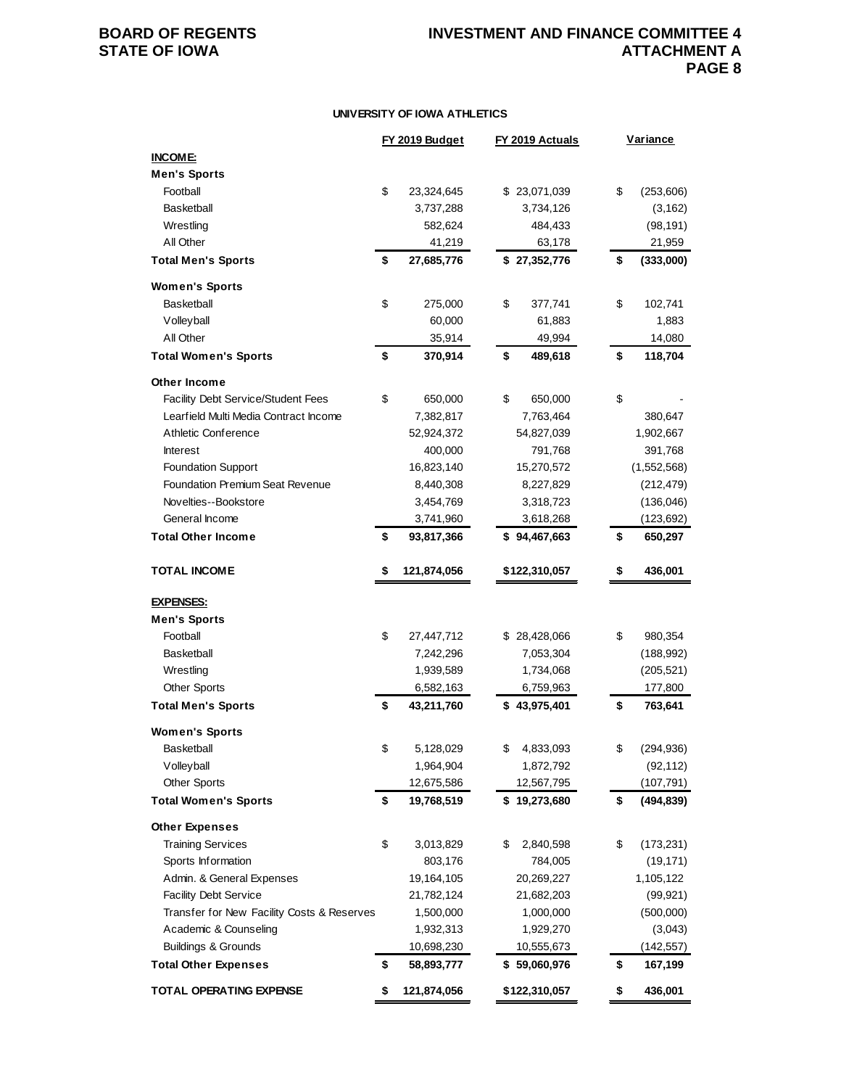### **UNIVERSITY OF IOWA ATHLETICS**

|                                            | FY 2019 Budget    | FY 2019 Actuals | <b>Variance</b>  |
|--------------------------------------------|-------------------|-----------------|------------------|
| <b>INCOME:</b>                             |                   |                 |                  |
| <b>Men's Sports</b>                        |                   |                 |                  |
| Football                                   | \$<br>23,324,645  | \$23,071,039    | \$<br>(253, 606) |
| <b>Basketball</b>                          | 3,737,288         | 3,734,126       | (3, 162)         |
| Wrestling                                  | 582,624           | 484,433         | (98, 191)        |
| All Other                                  | 41,219            | 63,178          | 21,959           |
| <b>Total Men's Sports</b>                  | \$<br>27,685,776  | \$27,352,776    | \$<br>(333,000)  |
| <b>Women's Sports</b>                      |                   |                 |                  |
| Basketball                                 | \$<br>275,000     | \$<br>377,741   | \$<br>102,741    |
| Volleyball                                 | 60,000            | 61,883          | 1,883            |
| All Other                                  | 35,914            | 49,994          | 14,080           |
| <b>Total Women's Sports</b>                | \$<br>370,914     | \$<br>489,618   | \$<br>118,704    |
| Other Income                               |                   |                 |                  |
| Facility Debt Service/Student Fees         | \$<br>650,000     | \$<br>650,000   | \$               |
| Learfield Multi Media Contract Income      | 7,382,817         | 7,763,464       | 380,647          |
| Athletic Conference                        | 52,924,372        | 54,827,039      | 1,902,667        |
| <b>Interest</b>                            | 400,000           | 791,768         | 391,768          |
| <b>Foundation Support</b>                  | 16,823,140        | 15,270,572      | (1,552,568)      |
| <b>Foundation Premium Seat Revenue</b>     | 8,440,308         | 8,227,829       | (212, 479)       |
| Novelties--Bookstore                       | 3,454,769         | 3,318,723       | (136, 046)       |
| General Income                             | 3,741,960         | 3,618,268       | (123, 692)       |
| <b>Total Other Income</b>                  | \$<br>93,817,366  | \$94,467,663    | \$<br>650,297    |
|                                            |                   |                 |                  |
| <b>TOTAL INCOME</b>                        | \$<br>121,874,056 | \$122,310,057   | \$<br>436,001    |
| <b>EXPENSES:</b>                           |                   |                 |                  |
| <b>Men's Sports</b>                        |                   |                 |                  |
| Football                                   | \$<br>27,447,712  | \$28,428,066    | \$<br>980,354    |
| <b>Basketball</b>                          | 7,242,296         | 7,053,304       | (188, 992)       |
| Wrestling                                  | 1,939,589         | 1,734,068       | (205, 521)       |
| <b>Other Sports</b>                        | 6,582,163         | 6,759,963       | 177,800          |
| <b>Total Men's Sports</b>                  | \$<br>43,211,760  | \$43,975,401    | \$<br>763,641    |
|                                            |                   |                 |                  |
| <b>Women's Sports</b>                      |                   |                 |                  |
| Basketball                                 | \$<br>5,128,029   | 4,833,093       | (294, 936)       |
| Volleyball                                 | 1,964,904         | 1,872,792       | (92, 112)        |
| <b>Other Sports</b>                        | 12,675,586        | 12,567,795      | (107, 791)       |
| <b>Total Women's Sports</b>                | \$<br>19,768,519  | \$19,273,680    | \$<br>(494, 839) |
| <b>Other Expenses</b>                      |                   |                 |                  |
| <b>Training Services</b>                   | \$<br>3,013,829   | \$<br>2,840,598 | \$<br>(173, 231) |
| Sports Information                         | 803,176           | 784,005         | (19, 171)        |
| Admin. & General Expenses                  | 19,164,105        | 20,269,227      | 1,105,122        |
| <b>Facility Debt Service</b>               | 21,782,124        | 21,682,203      | (99, 921)        |
| Transfer for New Facility Costs & Reserves | 1,500,000         | 1,000,000       | (500,000)        |
| Academic & Counseling                      | 1,932,313         | 1,929,270       | (3,043)          |
| <b>Buildings &amp; Grounds</b>             | 10,698,230        | 10,555,673      | (142, 557)       |
| <b>Total Other Expenses</b>                | \$<br>58,893,777  | \$59,060,976    | \$<br>167,199    |
| <b>TOTAL OPERATING EXPENSE</b>             | \$<br>121,874,056 | \$122,310,057   | \$<br>436,001    |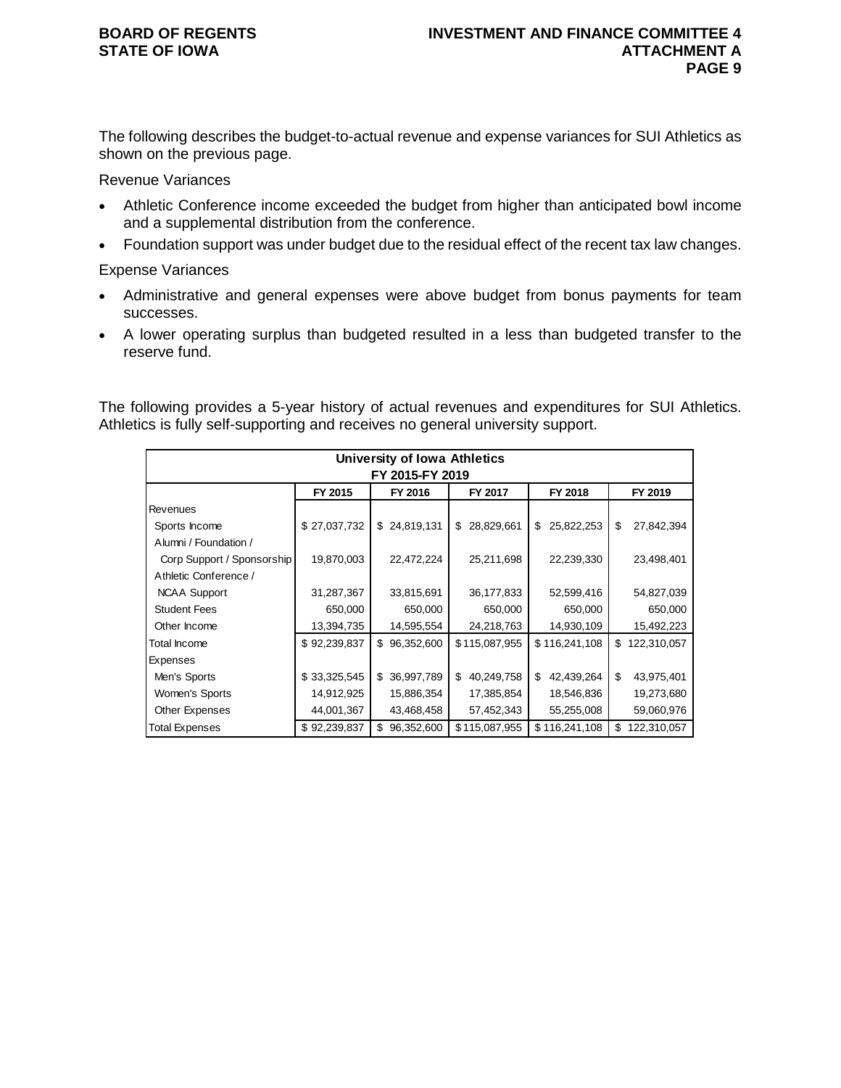The following describes the budget-to-actual revenue and expense variances for SUI Athletics as shown on the previous page.

## Revenue Variances

- Athletic Conference income exceeded the budget from higher than anticipated bowl income and a supplemental distribution from the conference.
- Foundation support was under budget due to the residual effect of the recent tax law changes.

## Expense Variances

- Administrative and general expenses were above budget from bonus payments for team successes.
- A lower operating surplus than budgeted resulted in a less than budgeted transfer to the reserve fund.

The following provides a 5-year history of actual revenues and expenditures for SUI Athletics. Athletics is fully self-supporting and receives no general university support.

| University of Iowa Athletics |              |                  |                  |                  |                   |  |  |  |  |  |  |
|------------------------------|--------------|------------------|------------------|------------------|-------------------|--|--|--|--|--|--|
| FY 2015-FY 2019              |              |                  |                  |                  |                   |  |  |  |  |  |  |
|                              | FY 2015      | FY 2016          | FY 2017          | FY 2018          | FY 2019           |  |  |  |  |  |  |
| <b>Revenues</b>              |              |                  |                  |                  |                   |  |  |  |  |  |  |
| Sports Income                | \$27,037,732 | \$24,819,131     | 28,829,661<br>\$ | 25,822,253<br>\$ | \$<br>27,842,394  |  |  |  |  |  |  |
| Alumni / Foundation /        |              |                  |                  |                  |                   |  |  |  |  |  |  |
| Corp Support / Sponsorship   | 19,870,003   | 22,472,224       | 25,211,698       | 22,239,330       | 23,498,401        |  |  |  |  |  |  |
| Athletic Conference /        |              |                  |                  |                  |                   |  |  |  |  |  |  |
| <b>NCAA Support</b>          | 31,287,367   | 33,815,691       | 36,177,833       | 52,599,416       | 54,827,039        |  |  |  |  |  |  |
| <b>Student Fees</b>          | 650,000      | 650,000          | 650,000          | 650,000          | 650,000           |  |  |  |  |  |  |
| Other Income                 | 13,394,735   | 14,595,554       | 24,218,763       | 14,930,109       | 15,492,223        |  |  |  |  |  |  |
| Total Income                 | \$92,239,837 | \$96,352,600     | \$115,087,955    | \$116,241,108    | \$<br>122,310,057 |  |  |  |  |  |  |
| Expenses                     |              |                  |                  |                  |                   |  |  |  |  |  |  |
| Men's Sports                 | \$33,325,545 | \$36,997,789     | 40,249,758<br>\$ | \$<br>42,439,264 | \$<br>43,975,401  |  |  |  |  |  |  |
| Women's Sports               | 14,912,925   | 15,886,354       | 17,385,854       | 18,546,836       | 19,273,680        |  |  |  |  |  |  |
| Other Expenses               | 44,001,367   | 43,468,458       | 57,452,343       | 55,255,008       | 59,060,976        |  |  |  |  |  |  |
| Total Expenses               | \$92,239,837 | 96,352,600<br>\$ | \$115,087,955    | \$116,241,108    | 122,310,057<br>\$ |  |  |  |  |  |  |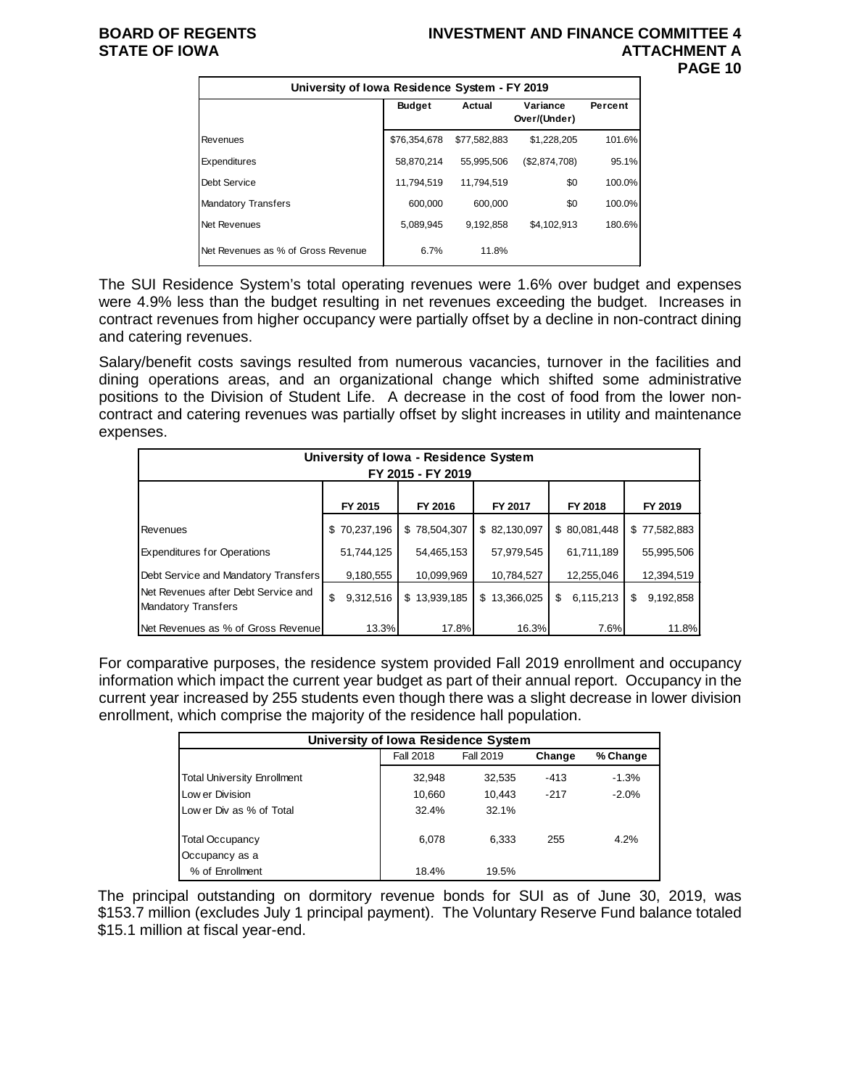## **BOARD OF REGENTS INVESTMENT AND FINANCE COMMITTEE 4 PAGE 10**

|                                    | University of Iowa Residence System - FY 2019 |              |                          |         |  |  |  |  |  |  |  |
|------------------------------------|-----------------------------------------------|--------------|--------------------------|---------|--|--|--|--|--|--|--|
|                                    | <b>Budget</b>                                 | Actual       | Variance<br>Over/(Under) | Percent |  |  |  |  |  |  |  |
| Revenues                           | \$76,354,678                                  | \$77.582.883 | \$1.228.205              | 101.6%  |  |  |  |  |  |  |  |
| Expenditures                       | 58,870,214                                    | 55.995.506   | (\$2,874,708)            | 95.1%   |  |  |  |  |  |  |  |
| Debt Service                       | 11,794,519                                    | 11.794.519   | \$0                      | 100.0%  |  |  |  |  |  |  |  |
| <b>Mandatory Transfers</b>         | 600,000                                       | 600.000      | \$0                      | 100.0%  |  |  |  |  |  |  |  |
| Net Revenues                       | 5,089,945                                     | 9.192.858    | \$4,102,913              | 180.6%  |  |  |  |  |  |  |  |
| Net Revenues as % of Gross Revenue | 6.7%                                          | 11.8%        |                          |         |  |  |  |  |  |  |  |

The SUI Residence System's total operating revenues were 1.6% over budget and expenses were 4.9% less than the budget resulting in net revenues exceeding the budget. Increases in contract revenues from higher occupancy were partially offset by a decline in non-contract dining and catering revenues.

Salary/benefit costs savings resulted from numerous vacancies, turnover in the facilities and dining operations areas, and an organizational change which shifted some administrative positions to the Division of Student Life. A decrease in the cost of food from the lower noncontract and catering revenues was partially offset by slight increases in utility and maintenance expenses.

| University of Iowa - Residence System<br>FY 2015 - FY 2019        |                 |              |              |                |                 |  |  |  |  |
|-------------------------------------------------------------------|-----------------|--------------|--------------|----------------|-----------------|--|--|--|--|
|                                                                   | FY 2015         | FY 2016      | FY 2017      | FY 2018        | FY 2019         |  |  |  |  |
| Revenues                                                          | \$70,237,196    | \$78,504,307 | \$82,130,097 | \$80,081,448   | \$77,582,883    |  |  |  |  |
| <b>Expenditures for Operations</b>                                | 51,744,125      | 54,465,153   | 57,979,545   | 61.711.189     | 55,995,506      |  |  |  |  |
| Debt Service and Mandatory Transfers                              | 9,180,555       | 10,099,969   | 10,784,527   | 12,255,046     | 12,394,519      |  |  |  |  |
| Net Revenues after Debt Service and<br><b>Mandatory Transfers</b> | \$<br>9,312,516 | \$13,939,185 | \$13,366,025 | 6,115,213<br>S | 9,192,858<br>\$ |  |  |  |  |
| Net Revenues as % of Gross Revenue                                | 13.3%           | 17.8%        | 16.3%        | 7.6%           | 11.8%           |  |  |  |  |

For comparative purposes, the residence system provided Fall 2019 enrollment and occupancy information which impact the current year budget as part of their annual report. Occupancy in the current year increased by 255 students even though there was a slight decrease in lower division enrollment, which comprise the majority of the residence hall population.

| University of Iowa Residence System |           |           |        |          |  |  |  |  |  |  |
|-------------------------------------|-----------|-----------|--------|----------|--|--|--|--|--|--|
|                                     | Fall 2018 | Fall 2019 | Change | % Change |  |  |  |  |  |  |
| <b>Total University Enrollment</b>  | 32,948    | 32,535    | $-413$ | $-1.3%$  |  |  |  |  |  |  |
| Low er Division                     | 10,660    | 10.443    | $-217$ | $-2.0%$  |  |  |  |  |  |  |
| Low er Div as % of Total            | 32.4%     | 32.1%     |        |          |  |  |  |  |  |  |
| <b>Total Occupancy</b>              | 6.078     | 6.333     | 255    | 4.2%     |  |  |  |  |  |  |
| Occupancy as a                      |           |           |        |          |  |  |  |  |  |  |
| % of Enrollment                     | 18.4%     | 19.5%     |        |          |  |  |  |  |  |  |

The principal outstanding on dormitory revenue bonds for SUI as of June 30, 2019, was \$153.7 million (excludes July 1 principal payment). The Voluntary Reserve Fund balance totaled \$15.1 million at fiscal year-end.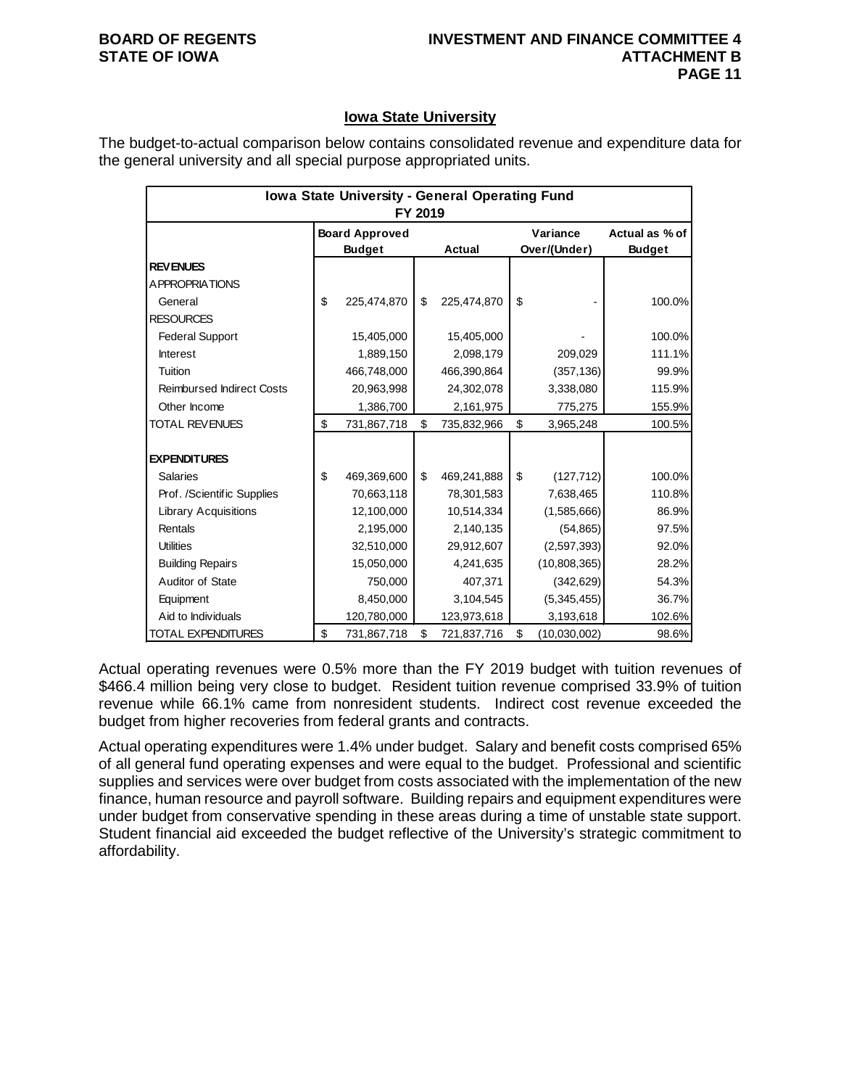## **Iowa State University**

The budget-to-actual comparison below contains consolidated revenue and expenditure data for the general university and all special purpose appropriated units.

|                                  | Iowa State University - General Operating Fund<br>FY 2019 |                                        |    |             |    |                          |                                 |  |  |
|----------------------------------|-----------------------------------------------------------|----------------------------------------|----|-------------|----|--------------------------|---------------------------------|--|--|
|                                  |                                                           | <b>Board Approved</b><br><b>Budget</b> |    | Actual      |    | Variance<br>Over/(Under) | Actual as % of<br><b>Budget</b> |  |  |
| <b>REVENUES</b>                  |                                                           |                                        |    |             |    |                          |                                 |  |  |
| <b>APPROPRIATIONS</b>            |                                                           |                                        |    |             |    |                          |                                 |  |  |
| General                          | \$                                                        | 225,474,870                            | \$ | 225,474,870 | \$ |                          | 100.0%                          |  |  |
| <b>RESOURCES</b>                 |                                                           |                                        |    |             |    |                          |                                 |  |  |
| <b>Federal Support</b>           |                                                           | 15,405,000                             |    | 15,405,000  |    |                          | 100.0%                          |  |  |
| <b>Interest</b>                  |                                                           | 1,889,150                              |    | 2,098,179   |    | 209,029                  | 111.1%                          |  |  |
| Tuition                          |                                                           | 466,748,000                            |    | 466,390,864 |    | (357, 136)               | 99.9%                           |  |  |
| <b>Reimbursed Indirect Costs</b> |                                                           | 20,963,998                             |    | 24,302,078  |    | 3,338,080                | 115.9%                          |  |  |
| Other Income                     |                                                           | 1,386,700                              |    | 2,161,975   |    | 775,275                  | 155.9%                          |  |  |
| <b>TOTAL REVENUES</b>            | \$                                                        | 731,867,718                            | \$ | 735,832,966 | \$ | 3,965,248                | 100.5%                          |  |  |
|                                  |                                                           |                                        |    |             |    |                          |                                 |  |  |
| <b>EXPENDITURES</b>              |                                                           |                                        |    |             |    |                          |                                 |  |  |
| <b>Salaries</b>                  | \$                                                        | 469,369,600                            | \$ | 469,241,888 | \$ | (127, 712)               | 100.0%                          |  |  |
| Prof. /Scientific Supplies       |                                                           | 70,663,118                             |    | 78,301,583  |    | 7,638,465                | 110.8%                          |  |  |
| <b>Library Acquisitions</b>      |                                                           | 12,100,000                             |    | 10,514,334  |    | (1,585,666)              | 86.9%                           |  |  |
| Rentals                          |                                                           | 2,195,000                              |    | 2,140,135   |    | (54, 865)                | 97.5%                           |  |  |
| <b>Utilities</b>                 |                                                           | 32,510,000                             |    | 29,912,607  |    | (2,597,393)              | 92.0%                           |  |  |
| <b>Building Repairs</b>          |                                                           | 15,050,000                             |    | 4,241,635   |    | (10,808,365)             | 28.2%                           |  |  |
| Auditor of State                 |                                                           | 750,000                                |    | 407,371     |    | (342, 629)               | 54.3%                           |  |  |
| Equipment                        |                                                           | 8,450,000                              |    | 3,104,545   |    | (5,345,455)              | 36.7%                           |  |  |
| Aid to Individuals               |                                                           | 120,780,000                            |    | 123,973,618 |    | 3,193,618                | 102.6%                          |  |  |
| <b>TOTAL EXPENDITURES</b>        | \$                                                        | 731,867,718                            | \$ | 721,837,716 | \$ | (10,030,002)             | 98.6%                           |  |  |

Actual operating revenues were 0.5% more than the FY 2019 budget with tuition revenues of \$466.4 million being very close to budget. Resident tuition revenue comprised 33.9% of tuition revenue while 66.1% came from nonresident students. Indirect cost revenue exceeded the budget from higher recoveries from federal grants and contracts.

Actual operating expenditures were 1.4% under budget. Salary and benefit costs comprised 65% of all general fund operating expenses and were equal to the budget. Professional and scientific supplies and services were over budget from costs associated with the implementation of the new finance, human resource and payroll software. Building repairs and equipment expenditures were under budget from conservative spending in these areas during a time of unstable state support. Student financial aid exceeded the budget reflective of the University's strategic commitment to affordability.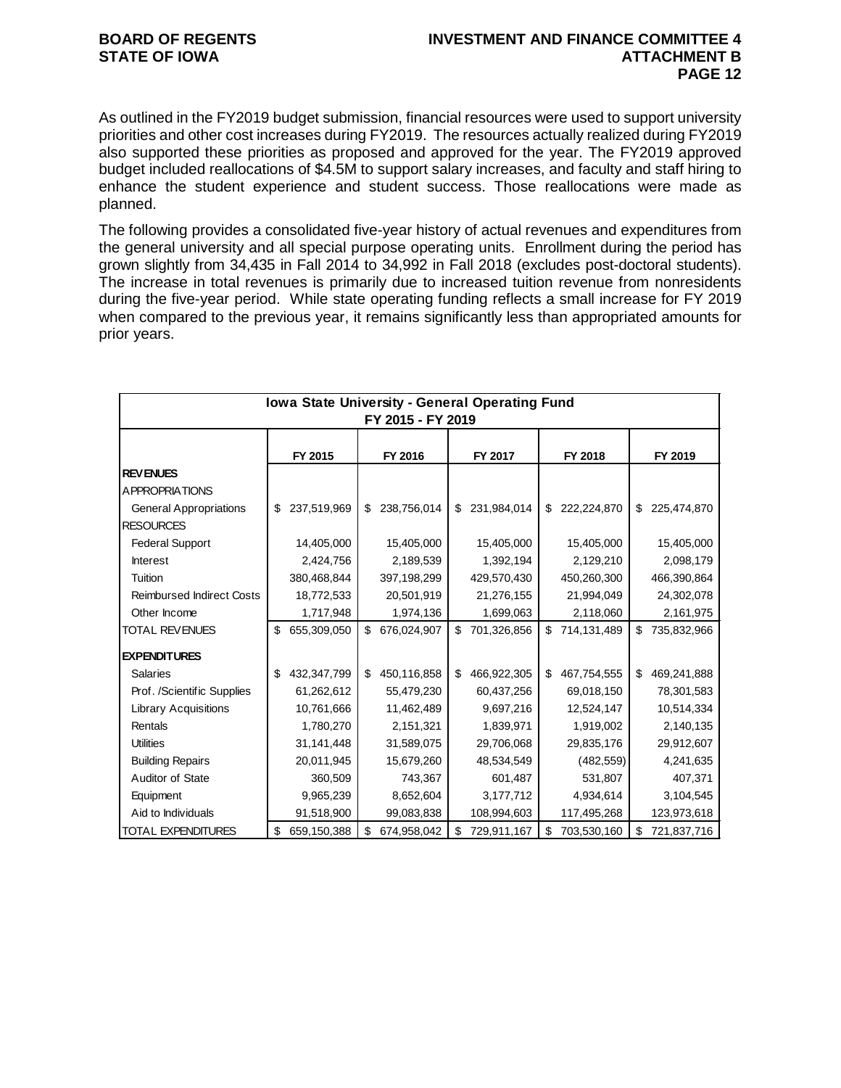As outlined in the FY2019 budget submission, financial resources were used to support university priorities and other cost increases during FY2019. The resources actually realized during FY2019 also supported these priorities as proposed and approved for the year. The FY2019 approved budget included reallocations of \$4.5M to support salary increases, and faculty and staff hiring to enhance the student experience and student success. Those reallocations were made as planned.

The following provides a consolidated five-year history of actual revenues and expenditures from the general university and all special purpose operating units. Enrollment during the period has grown slightly from 34,435 in Fall 2014 to 34,992 in Fall 2018 (excludes post-doctoral students). The increase in total revenues is primarily due to increased tuition revenue from nonresidents during the five-year period. While state operating funding reflects a small increase for FY 2019 when compared to the previous year, it remains significantly less than appropriated amounts for prior years.

|                                  |                   | Iowa State University - General Operating Fund<br>FY 2015 - FY 2019 |                   |                   |                   |
|----------------------------------|-------------------|---------------------------------------------------------------------|-------------------|-------------------|-------------------|
|                                  | FY 2015           | FY 2016                                                             | FY 2017           | FY 2018           | FY 2019           |
| <b>REVENUES</b>                  |                   |                                                                     |                   |                   |                   |
| A PPROPRIATIONS                  |                   |                                                                     |                   |                   |                   |
| <b>General Appropriations</b>    | 237,519,969       | \$<br>238,756,014                                                   | \$<br>231,984,014 | \$<br>222,224,870 | \$<br>225,474,870 |
| <b>RESOURCES</b>                 |                   |                                                                     |                   |                   |                   |
| <b>Federal Support</b>           | 14,405,000        | 15,405,000                                                          | 15,405,000        | 15,405,000        | 15,405,000        |
| <b>Interest</b>                  | 2,424,756         | 2,189,539                                                           | 1,392,194         | 2,129,210         | 2,098,179         |
| Tuition                          | 380,468,844       | 397,198,299                                                         | 429,570,430       | 450,260,300       | 466,390,864       |
| <b>Reimbursed Indirect Costs</b> | 18,772,533        | 20,501,919                                                          | 21,276,155        | 21,994,049        | 24,302,078        |
| Other Income                     | 1,717,948         | 1,974,136                                                           | 1,699,063         | 2,118,060         | 2,161,975         |
| <b>TOTAL REVENUES</b>            | \$<br>655,309,050 | \$<br>676,024,907                                                   | \$<br>701,326,856 | 714,131,489       | \$<br>735,832,966 |
| <b>EXPENDITURES</b>              |                   |                                                                     |                   |                   |                   |
| <b>Salaries</b>                  | \$<br>432,347,799 | \$<br>450,116,858                                                   | \$<br>466,922,305 | \$<br>467,754,555 | \$<br>469,241,888 |
| Prof. /Scientific Supplies       | 61,262,612        | 55,479,230                                                          | 60,437,256        | 69,018,150        | 78,301,583        |
| <b>Library Acquisitions</b>      | 10,761,666        | 11,462,489                                                          | 9,697,216         | 12,524,147        | 10,514,334        |
| Rentals                          | 1,780,270         | 2,151,321                                                           | 1,839,971         | 1,919,002         | 2,140,135         |
| <b>Utilities</b>                 | 31, 141, 448      | 31,589,075                                                          | 29,706,068        | 29,835,176        | 29,912,607        |
| <b>Building Repairs</b>          | 20,011,945        | 15,679,260                                                          | 48,534,549        | (482, 559)        | 4,241,635         |
| Auditor of State                 | 360,509           | 743,367                                                             | 601,487           | 531,807           | 407,371           |
| Equipment                        | 9,965,239         | 8,652,604                                                           | 3,177,712         | 4,934,614         | 3,104,545         |
| Aid to Individuals               | 91,518,900        | 99,083,838                                                          | 108,994,603       | 117,495,268       | 123,973,618       |
| <b>TOTAL EXPENDITURES</b>        | \$<br>659,150,388 | \$<br>674,958,042                                                   | \$<br>729,911,167 | \$<br>703,530,160 | \$<br>721,837,716 |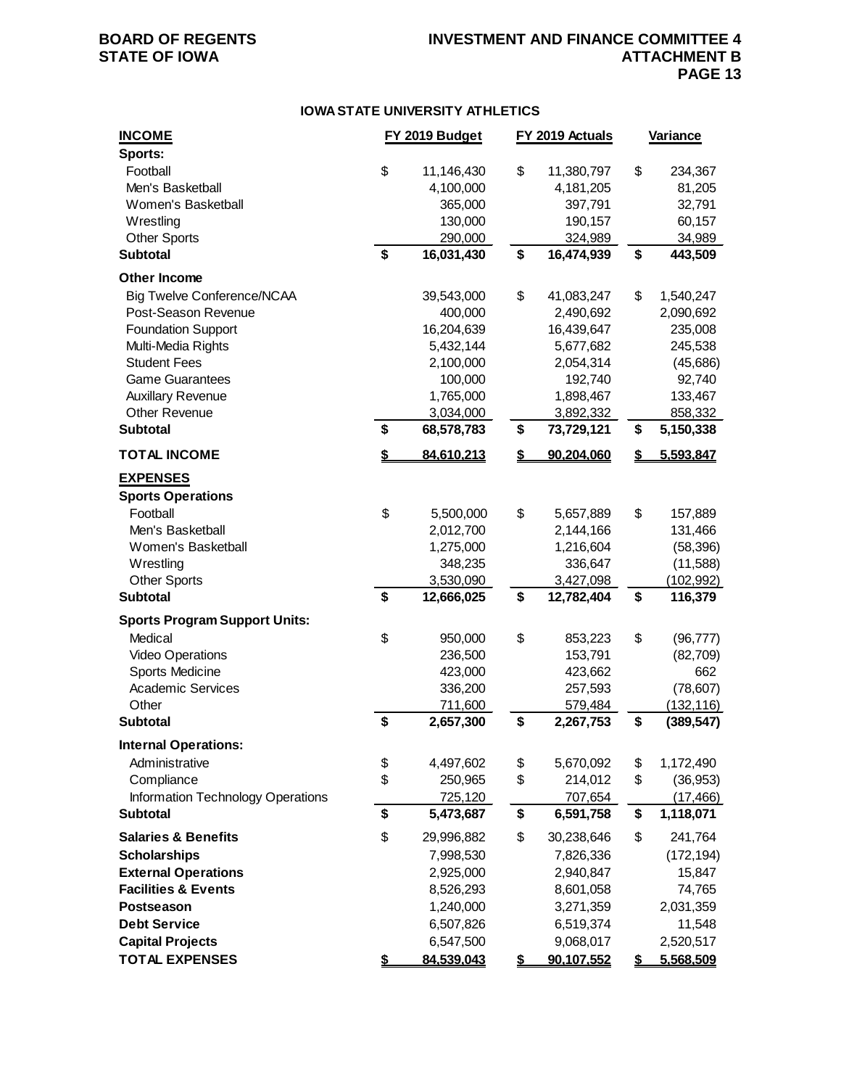## **BOARD OF REGENTS INVESTMENT AND FINANCE COMMITTEE 4 PAGE 13**

### **IOWA STATE UNIVERSITY ATHLETICS**

| <b>INCOME</b><br>Sports:                                | FY 2019 Budget   | FY 2019 Actuals  | <b>Variance</b>  |
|---------------------------------------------------------|------------------|------------------|------------------|
| Football                                                | \$<br>11,146,430 | \$<br>11,380,797 | \$<br>234,367    |
| Men's Basketball                                        | 4,100,000        | 4,181,205        | 81,205           |
| Women's Basketball                                      | 365,000          | 397,791          | 32,791           |
| Wrestling                                               | 130,000          | 190,157          | 60,157           |
| <b>Other Sports</b>                                     | 290,000          | 324,989          | 34,989           |
| <b>Subtotal</b>                                         | \$<br>16,031,430 | \$<br>16,474,939 | \$<br>443,509    |
| <b>Other Income</b>                                     |                  |                  |                  |
| <b>Big Twelve Conference/NCAA</b>                       | 39,543,000       | \$<br>41,083,247 | \$<br>1,540,247  |
| Post-Season Revenue                                     | 400,000          | 2,490,692        | 2,090,692        |
| <b>Foundation Support</b>                               | 16,204,639       | 16,439,647       | 235,008          |
| Multi-Media Rights                                      | 5,432,144        | 5,677,682        | 245,538          |
| <b>Student Fees</b>                                     | 2,100,000        | 2,054,314        | (45,686)         |
| <b>Game Guarantees</b>                                  | 100,000          | 192,740          | 92,740           |
| <b>Auxillary Revenue</b>                                | 1,765,000        | 1,898,467        | 133,467          |
| Other Revenue                                           | 3,034,000        | 3,892,332        | 858,332          |
| <b>Subtotal</b>                                         | \$<br>68,578,783 | \$<br>73,729,121 | \$<br>5,150,338  |
| <b>TOTAL INCOME</b>                                     | \$<br>84,610,213 | \$<br>90,204,060 | \$<br>5,593,847  |
| <b>EXPENSES</b><br><b>Sports Operations</b><br>Football | \$<br>5,500,000  | \$<br>5,657,889  | \$<br>157,889    |
| Men's Basketball                                        | 2,012,700        | 2,144,166        | 131,466          |
| Women's Basketball                                      | 1,275,000        | 1,216,604        | (58, 396)        |
| Wrestling                                               | 348,235          | 336,647          | (11,588)         |
| <b>Other Sports</b>                                     | 3,530,090        | 3,427,098        | (102, 992)       |
| <b>Subtotal</b>                                         | \$<br>12,666,025 | \$<br>12,782,404 | \$<br>116,379    |
| <b>Sports Program Support Units:</b>                    |                  |                  |                  |
| Medical                                                 | \$<br>950,000    | \$<br>853,223    | \$<br>(96, 777)  |
| <b>Video Operations</b>                                 | 236,500          | 153,791          | (82, 709)        |
| Sports Medicine                                         | 423,000          | 423,662          | 662              |
| <b>Academic Services</b>                                | 336,200          | 257,593          | (78, 607)        |
| Other                                                   | 711,600          | 579,484          | (132, 116)       |
| <b>Subtotal</b>                                         | \$<br>2,657,300  | \$<br>2,267,753  | \$<br>(389, 547) |
| <b>Internal Operations:</b>                             |                  |                  |                  |
| Administrative                                          | \$<br>4,497,602  | \$<br>5,670,092  | \$<br>1,172,490  |
| Compliance                                              | \$<br>250,965    | \$<br>214,012    | \$<br>(36, 953)  |
| <b>Information Technology Operations</b>                | 725,120          | 707,654          | (17, 466)        |
| <b>Subtotal</b>                                         | \$<br>5,473,687  | \$<br>6,591,758  | \$<br>1,118,071  |
| <b>Salaries &amp; Benefits</b>                          | \$<br>29,996,882 | \$<br>30,238,646 | \$<br>241,764    |
| <b>Scholarships</b>                                     | 7,998,530        | 7,826,336        | (172, 194)       |
| <b>External Operations</b>                              | 2,925,000        | 2,940,847        | 15,847           |
| <b>Facilities &amp; Events</b>                          | 8,526,293        | 8,601,058        | 74,765           |
| <b>Postseason</b>                                       | 1,240,000        | 3,271,359        | 2,031,359        |
| <b>Debt Service</b>                                     | 6,507,826        | 6,519,374        | 11,548           |
| <b>Capital Projects</b>                                 | 6,547,500        | 9,068,017        | 2,520,517        |
| <b>TOTAL EXPENSES</b>                                   | \$<br>84,539,043 | \$<br>90,107,552 | \$<br>5,568,509  |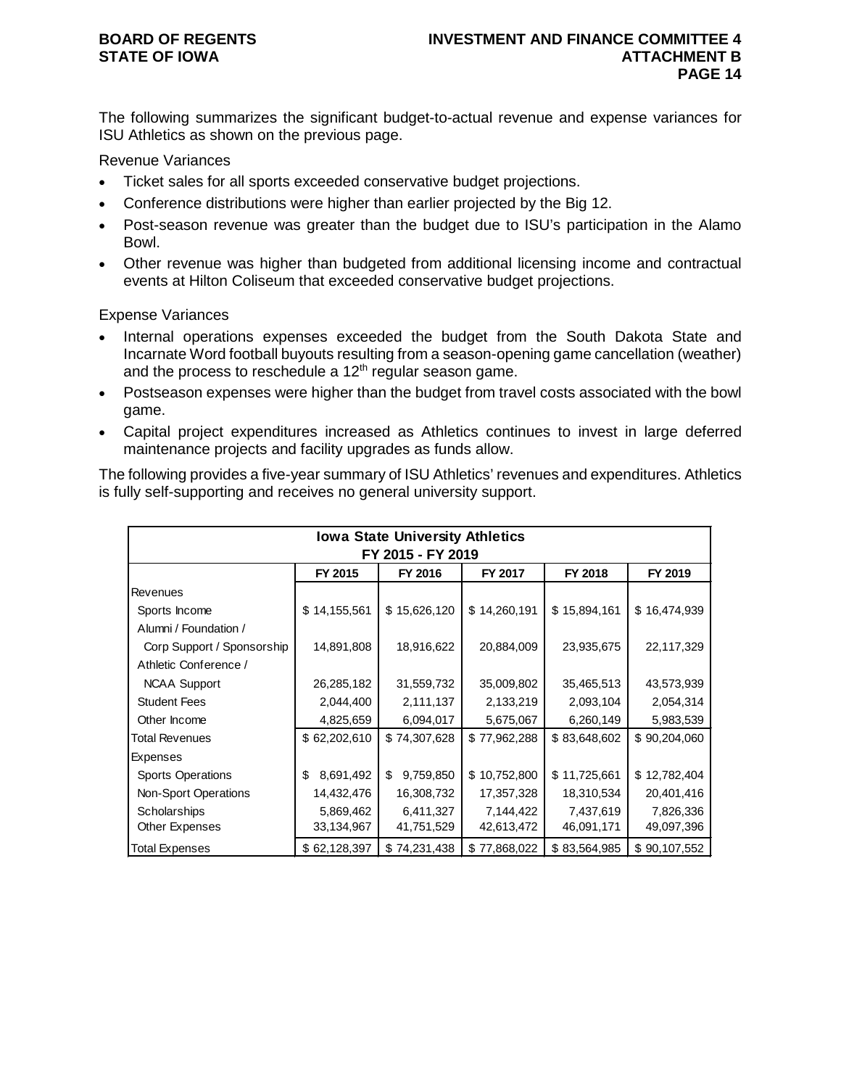The following summarizes the significant budget-to-actual revenue and expense variances for ISU Athletics as shown on the previous page.

Revenue Variances

- Ticket sales for all sports exceeded conservative budget projections.
- Conference distributions were higher than earlier projected by the Big 12.
- Post-season revenue was greater than the budget due to ISU's participation in the Alamo Bowl.
- Other revenue was higher than budgeted from additional licensing income and contractual events at Hilton Coliseum that exceeded conservative budget projections.

Expense Variances

- Internal operations expenses exceeded the budget from the South Dakota State and Incarnate Word football buyouts resulting from a season-opening game cancellation (weather) and the process to reschedule a  $12<sup>th</sup>$  regular season game.
- Postseason expenses were higher than the budget from travel costs associated with the bowl game.
- Capital project expenditures increased as Athletics continues to invest in large deferred maintenance projects and facility upgrades as funds allow.

The following provides a five-year summary of ISU Athletics' revenues and expenditures. Athletics is fully self-supporting and receives no general university support.

|                            | <b>Iowa State University Athletics</b> |                   |              |              |              |  |  |  |  |
|----------------------------|----------------------------------------|-------------------|--------------|--------------|--------------|--|--|--|--|
|                            |                                        | FY 2015 - FY 2019 |              |              |              |  |  |  |  |
|                            |                                        |                   |              |              |              |  |  |  |  |
|                            | FY 2015                                | FY 2016           | FY 2017      | FY 2018      | FY 2019      |  |  |  |  |
| Revenues                   |                                        |                   |              |              |              |  |  |  |  |
| Sports Income              | \$14,155,561                           | \$15,626,120      | \$14,260,191 | \$15,894,161 | \$16,474,939 |  |  |  |  |
| Alumni / Foundation /      |                                        |                   |              |              |              |  |  |  |  |
| Corp Support / Sponsorship | 14,891,808                             | 18,916,622        | 20,884,009   | 23,935,675   | 22,117,329   |  |  |  |  |
| Athletic Conference /      |                                        |                   |              |              |              |  |  |  |  |
| <b>NCAA Support</b>        | 26,285,182                             | 31,559,732        | 35,009,802   | 35,465,513   | 43,573,939   |  |  |  |  |
| <b>Student Fees</b>        | 2,044,400                              | 2,111,137         | 2,133,219    | 2,093,104    | 2,054,314    |  |  |  |  |
| Other Income               | 4,825,659                              | 6,094,017         | 5,675,067    | 6,260,149    | 5,983,539    |  |  |  |  |
| Total Revenues             | \$62,202,610                           | \$74,307,628      | \$77,962,288 | \$83,648,602 | \$90,204,060 |  |  |  |  |
| <b>Expenses</b>            |                                        |                   |              |              |              |  |  |  |  |
| <b>Sports Operations</b>   | 8,691,492<br>\$                        | \$<br>9,759,850   | \$10,752,800 | \$11,725,661 | \$12,782,404 |  |  |  |  |
| Non-Sport Operations       | 14,432,476                             | 16,308,732        | 17,357,328   | 18,310,534   | 20,401,416   |  |  |  |  |
| Scholarships               | 5,869,462                              | 6,411,327         | 7,144,422    | 7,437,619    | 7,826,336    |  |  |  |  |
| Other Expenses             | 33,134,967                             | 41,751,529        | 42,613,472   | 46,091,171   | 49,097,396   |  |  |  |  |
| Total Expenses             | \$62,128,397                           | \$74,231,438      | \$77,868,022 | \$83,564,985 | \$90,107,552 |  |  |  |  |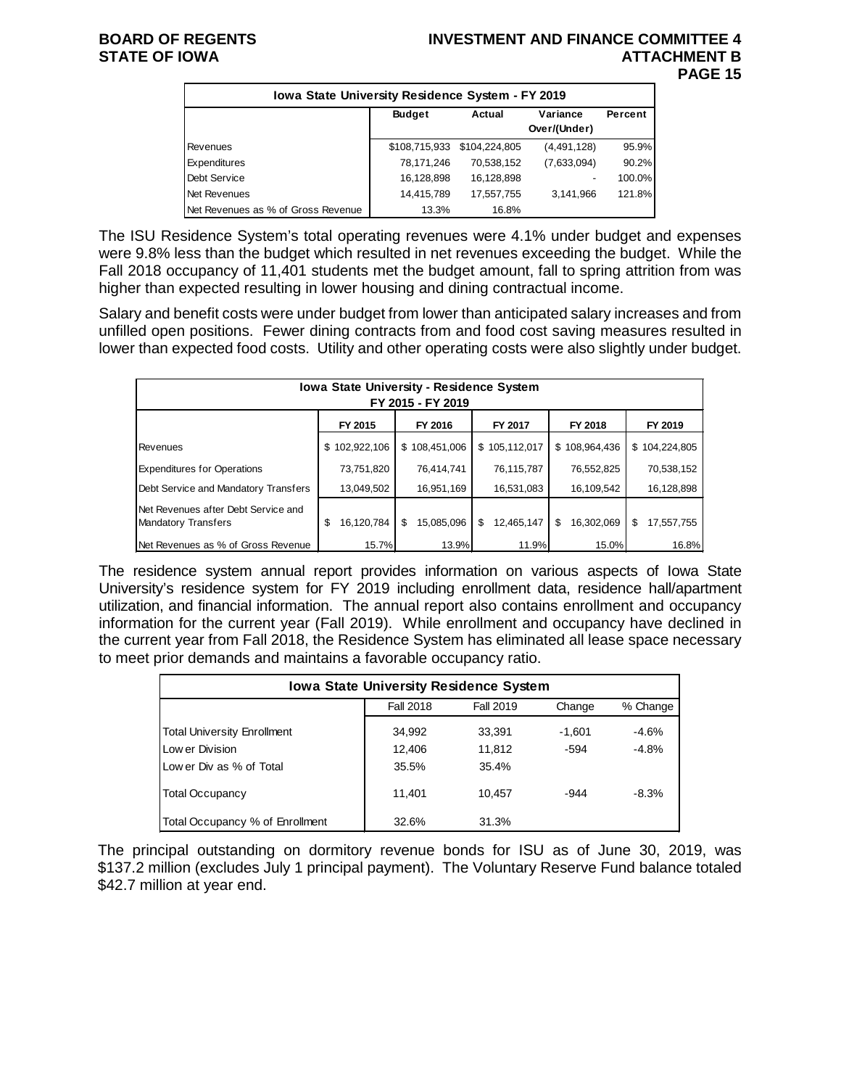## **BOARD OF REGENTS INVESTMENT AND FINANCE COMMITTEE 4 STATE OF IOWA ATTACHMENT B PAGE 15**

| <b>Iowa State University Residence System - FY 2019</b> |               |                             |                          |         |  |  |  |  |
|---------------------------------------------------------|---------------|-----------------------------|--------------------------|---------|--|--|--|--|
|                                                         | <b>Budget</b> | Actual                      | Variance<br>Over/(Under) | Percent |  |  |  |  |
| Revenues                                                |               | \$108,715,933 \$104,224,805 | (4,491,128)              | 95.9%   |  |  |  |  |
| Expenditures                                            | 78,171,246    | 70,538,152                  | (7,633,094)              | 90.2%   |  |  |  |  |
| Debt Service                                            | 16,128,898    | 16,128,898                  |                          | 100.0%  |  |  |  |  |
| Net Revenues                                            | 14,415,789    | 17,557,755                  | 3,141,966                | 121.8%  |  |  |  |  |
| Net Revenues as % of Gross Revenue                      | 13.3%         | 16.8%                       |                          |         |  |  |  |  |

The ISU Residence System's total operating revenues were 4.1% under budget and expenses were 9.8% less than the budget which resulted in net revenues exceeding the budget. While the Fall 2018 occupancy of 11,401 students met the budget amount, fall to spring attrition from was higher than expected resulting in lower housing and dining contractual income.

Salary and benefit costs were under budget from lower than anticipated salary increases and from unfilled open positions. Fewer dining contracts from and food cost saving measures resulted in lower than expected food costs. Utility and other operating costs were also slightly under budget.

| <b>Iowa State University - Residence System</b><br>FY 2015 - FY 2019 |                  |                  |                  |                  |                  |  |  |  |  |
|----------------------------------------------------------------------|------------------|------------------|------------------|------------------|------------------|--|--|--|--|
| FY 2016<br>FY 2015<br>FY 2017<br>FY 2018<br>FY 2019                  |                  |                  |                  |                  |                  |  |  |  |  |
| Revenues                                                             | \$102,922,106    | \$108,451,006    | \$105,112,017    | \$108,964,436    | \$104,224,805    |  |  |  |  |
| <b>Expenditures for Operations</b>                                   | 73,751,820       | 76,414,741       | 76,115,787       | 76,552,825       | 70,538,152       |  |  |  |  |
| Debt Service and Mandatory Transfers                                 | 13,049,502       | 16,951,169       | 16,531,083       | 16,109,542       | 16,128,898       |  |  |  |  |
| Net Revenues after Debt Service and<br>Mandatory Transfers           | 16,120,784<br>\$ | \$<br>15,085,096 | 12,465,147<br>\$ | 16,302,069<br>\$ | \$<br>17.557.755 |  |  |  |  |
| Net Revenues as % of Gross Revenue                                   | 15.7%            | 13.9%            | 11.9%            | 15.0%            | 16.8%            |  |  |  |  |

The residence system annual report provides information on various aspects of Iowa State University's residence system for FY 2019 including enrollment data, residence hall/apartment utilization, and financial information. The annual report also contains enrollment and occupancy information for the current year (Fall 2019). While enrollment and occupancy have declined in the current year from Fall 2018, the Residence System has eliminated all lease space necessary to meet prior demands and maintains a favorable occupancy ratio.

| <b>Iowa State University Residence System</b> |                                         |        |        |         |  |  |  |  |
|-----------------------------------------------|-----------------------------------------|--------|--------|---------|--|--|--|--|
|                                               | <b>Fall 2018</b><br>Fall 2019<br>Change |        |        |         |  |  |  |  |
| <b>Total University Enrollment</b>            | 34,992                                  | 33,391 | -1.601 | $-4.6%$ |  |  |  |  |
| Low er Division                               | 12,406                                  | 11,812 | $-594$ | $-4.8%$ |  |  |  |  |
| Low er Div as % of Total                      | 35.5%                                   | 35.4%  |        |         |  |  |  |  |
| <b>Total Occupancy</b>                        | 11.401                                  | 10.457 | $-944$ | $-8.3%$ |  |  |  |  |
| Total Occupancy % of Enrollment               | 32.6%                                   | 31.3%  |        |         |  |  |  |  |

The principal outstanding on dormitory revenue bonds for ISU as of June 30, 2019, was \$137.2 million (excludes July 1 principal payment). The Voluntary Reserve Fund balance totaled \$42.7 million at year end.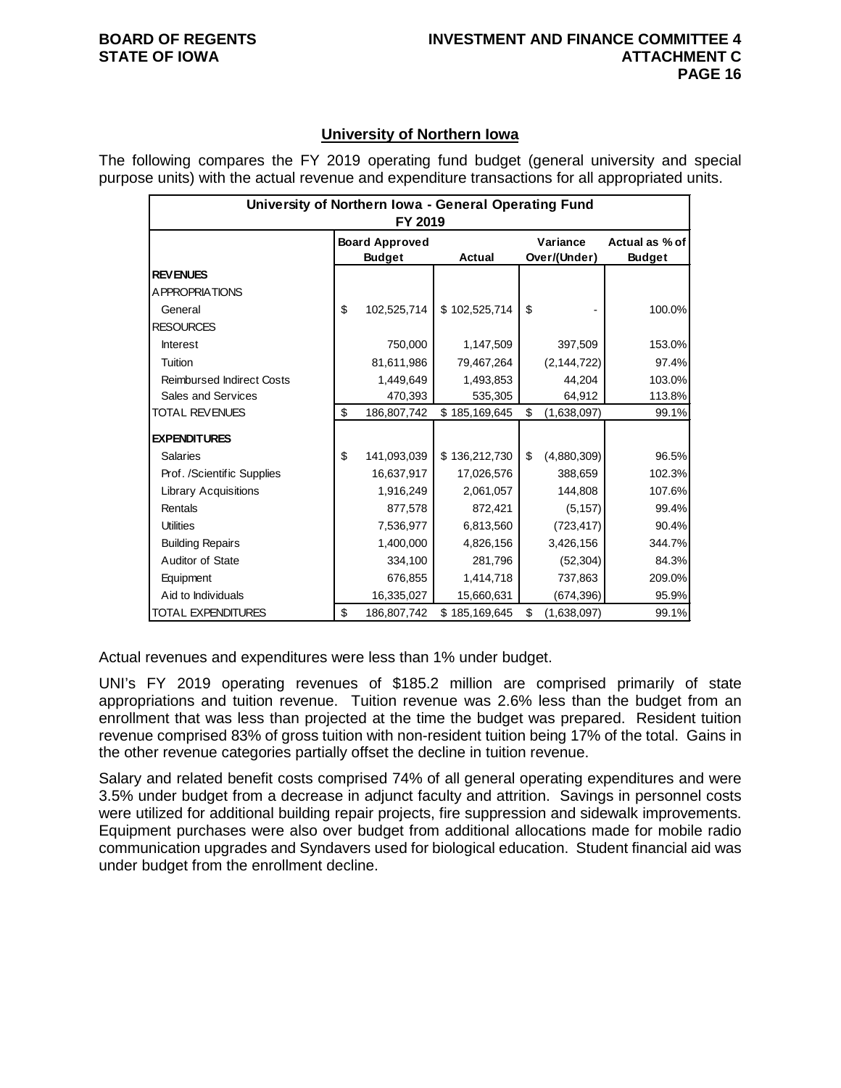## **University of Northern Iowa**

The following compares the FY 2019 operating fund budget (general university and special purpose units) with the actual revenue and expenditure transactions for all appropriated units.

|                                  | University of Northern Iowa - General Operating Fund<br>FY 2019 |                       |               |    |               |                |  |  |
|----------------------------------|-----------------------------------------------------------------|-----------------------|---------------|----|---------------|----------------|--|--|
|                                  |                                                                 | <b>Board Approved</b> |               |    | Variance      | Actual as % of |  |  |
|                                  |                                                                 | <b>Budget</b>         | Actual        |    | Over/(Under)  | <b>Budget</b>  |  |  |
| <b>REVENUES</b>                  |                                                                 |                       |               |    |               |                |  |  |
| <b>APPROPRIATIONS</b>            |                                                                 |                       |               |    |               |                |  |  |
| General                          | \$                                                              | 102,525,714           | \$102,525,714 | \$ |               | 100.0%         |  |  |
| <b>RESOURCES</b>                 |                                                                 |                       |               |    |               |                |  |  |
| <b>Interest</b>                  |                                                                 | 750,000               | 1,147,509     |    | 397,509       | 153.0%         |  |  |
| Tuition                          |                                                                 | 81,611,986            | 79,467,264    |    | (2, 144, 722) | 97.4%          |  |  |
| <b>Reimbursed Indirect Costs</b> |                                                                 | 1,449,649             | 1,493,853     |    | 44,204        | 103.0%         |  |  |
| Sales and Services               |                                                                 | 470,393               | 535,305       |    | 64,912        | 113.8%         |  |  |
| <b>TOTAL REVENUES</b>            | \$                                                              | 186,807,742           | \$185,169,645 | \$ | (1,638,097)   | 99.1%          |  |  |
| <b>EXPENDITURES</b>              |                                                                 |                       |               |    |               |                |  |  |
| <b>Salaries</b>                  | \$                                                              | 141,093,039           | \$136,212,730 | \$ | (4,880,309)   | 96.5%          |  |  |
| Prof. /Scientific Supplies       |                                                                 | 16,637,917            | 17,026,576    |    | 388,659       | 102.3%         |  |  |
| <b>Library Acquisitions</b>      |                                                                 | 1,916,249             | 2,061,057     |    | 144,808       | 107.6%         |  |  |
| Rentals                          |                                                                 | 877,578               | 872,421       |    | (5, 157)      | 99.4%          |  |  |
| <b>Utilities</b>                 |                                                                 | 7,536,977             | 6,813,560     |    | (723, 417)    | 90.4%          |  |  |
| <b>Building Repairs</b>          |                                                                 | 1,400,000             | 4,826,156     |    | 3,426,156     | 344.7%         |  |  |
| Auditor of State                 |                                                                 | 334,100               | 281,796       |    | (52, 304)     | 84.3%          |  |  |
| Equipment                        |                                                                 | 676,855               | 1,414,718     |    | 737,863       | 209.0%         |  |  |
| Aid to Individuals               |                                                                 | 16,335,027            | 15,660,631    |    | (674, 396)    | 95.9%          |  |  |
| <b>TOTAL EXPENDITURES</b>        | \$                                                              | 186,807,742           | \$185,169,645 | \$ | (1,638,097)   | 99.1%          |  |  |

Actual revenues and expenditures were less than 1% under budget.

UNI's FY 2019 operating revenues of \$185.2 million are comprised primarily of state appropriations and tuition revenue. Tuition revenue was 2.6% less than the budget from an enrollment that was less than projected at the time the budget was prepared. Resident tuition revenue comprised 83% of gross tuition with non-resident tuition being 17% of the total. Gains in the other revenue categories partially offset the decline in tuition revenue.

Salary and related benefit costs comprised 74% of all general operating expenditures and were 3.5% under budget from a decrease in adjunct faculty and attrition. Savings in personnel costs were utilized for additional building repair projects, fire suppression and sidewalk improvements. Equipment purchases were also over budget from additional allocations made for mobile radio communication upgrades and Syndavers used for biological education. Student financial aid was under budget from the enrollment decline.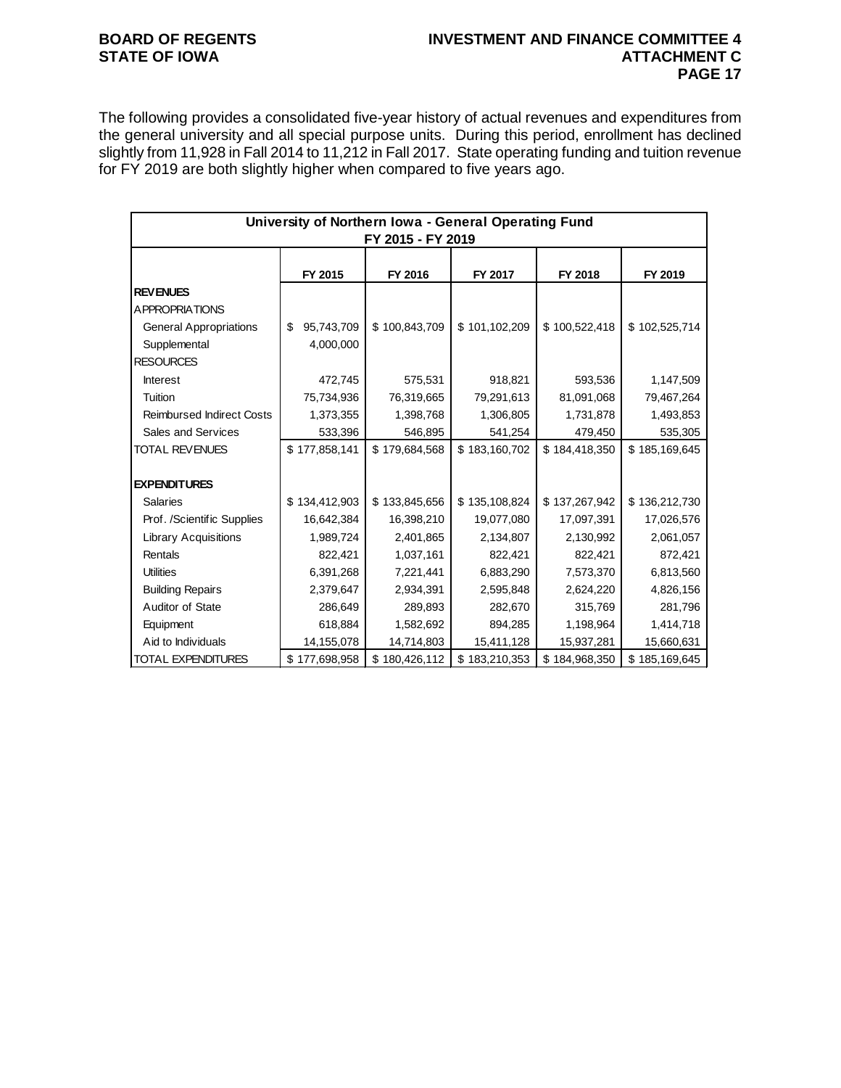## **BOARD OF REGENTS INVESTMENT AND FINANCE COMMITTEE 4 PAGE 17**

The following provides a consolidated five-year history of actual revenues and expenditures from the general university and all special purpose units. During this period, enrollment has declined slightly from 11,928 in Fall 2014 to 11,212 in Fall 2017. State operating funding and tuition revenue for FY 2019 are both slightly higher when compared to five years ago.

|                                  | University of Northern Iowa - General Operating Fund<br>FY 2015 - FY 2019 |               |               |               |               |  |  |  |
|----------------------------------|---------------------------------------------------------------------------|---------------|---------------|---------------|---------------|--|--|--|
|                                  |                                                                           |               |               |               |               |  |  |  |
|                                  | FY 2015                                                                   | FY 2016       | FY 2017       | FY 2018       | FY 2019       |  |  |  |
| <b>REVENUES</b>                  |                                                                           |               |               |               |               |  |  |  |
| A PPROPRIATIONS                  |                                                                           |               |               |               |               |  |  |  |
| <b>General Appropriations</b>    | 95,743,709<br>\$                                                          | \$100,843,709 | \$101,102,209 | \$100,522,418 | \$102,525,714 |  |  |  |
| Supplemental                     | 4,000,000                                                                 |               |               |               |               |  |  |  |
| <b>RESOURCES</b>                 |                                                                           |               |               |               |               |  |  |  |
| <b>Interest</b>                  | 472,745                                                                   | 575,531       | 918,821       | 593,536       | 1,147,509     |  |  |  |
| Tuition                          | 75,734,936                                                                | 76,319,665    | 79,291,613    | 81,091,068    | 79,467,264    |  |  |  |
| <b>Reimbursed Indirect Costs</b> | 1,373,355                                                                 | 1,398,768     | 1,306,805     | 1,731,878     | 1,493,853     |  |  |  |
| Sales and Services               | 533,396                                                                   | 546,895       | 541,254       | 479,450       | 535,305       |  |  |  |
| <b>TOTAL REVENUES</b>            | \$177,858,141                                                             | \$179,684,568 | \$183,160,702 | \$184,418,350 | \$185,169,645 |  |  |  |
|                                  |                                                                           |               |               |               |               |  |  |  |
| <b>EXPENDITURES</b>              |                                                                           |               |               |               |               |  |  |  |
| <b>Salaries</b>                  | \$134,412,903                                                             | \$133,845,656 | \$135,108,824 | \$137,267,942 | \$136,212,730 |  |  |  |
| Prof. /Scientific Supplies       | 16,642,384                                                                | 16,398,210    | 19,077,080    | 17,097,391    | 17,026,576    |  |  |  |
| <b>Library Acquisitions</b>      | 1,989,724                                                                 | 2,401,865     | 2,134,807     | 2,130,992     | 2,061,057     |  |  |  |
| Rentals                          | 822,421                                                                   | 1,037,161     | 822,421       | 822,421       | 872,421       |  |  |  |
| <b>Utilities</b>                 | 6,391,268                                                                 | 7,221,441     | 6,883,290     | 7,573,370     | 6,813,560     |  |  |  |
| <b>Building Repairs</b>          | 2,379,647                                                                 | 2,934,391     | 2,595,848     | 2,624,220     | 4,826,156     |  |  |  |
| Auditor of State                 | 286,649                                                                   | 289,893       | 282,670       | 315,769       | 281,796       |  |  |  |
| Equipment                        | 618,884                                                                   | 1,582,692     | 894,285       | 1,198,964     | 1,414,718     |  |  |  |
| Aid to Individuals               | 14,155,078                                                                | 14,714,803    | 15,411,128    | 15,937,281    | 15,660,631    |  |  |  |
| <b>TOTAL EXPENDITURES</b>        | \$177,698,958                                                             | \$180,426,112 | \$183,210,353 | \$184,968,350 | \$185,169,645 |  |  |  |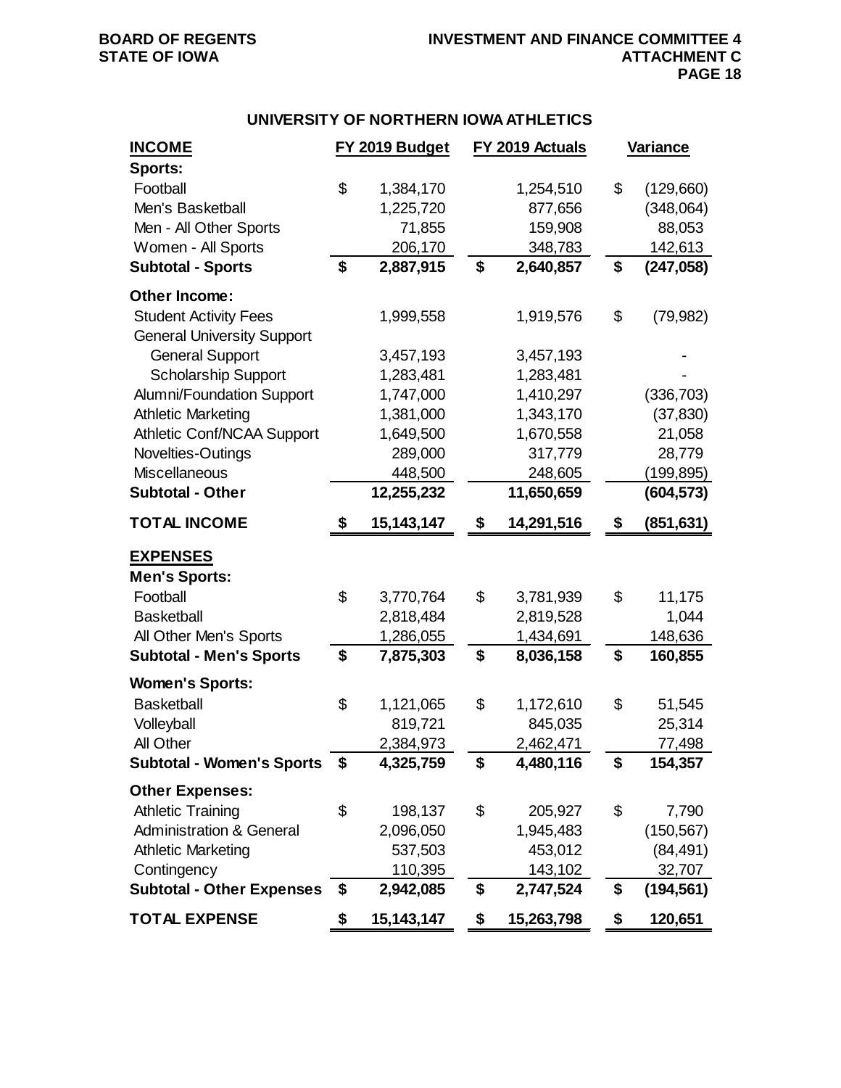## **UNIVERSITY OF NORTHERN IOWA ATHLETICS**

| <b>INCOME</b>                       | FY 2019 Budget     | FY 2019 Actuals |            | Variance         |
|-------------------------------------|--------------------|-----------------|------------|------------------|
| <b>Sports:</b>                      |                    |                 |            |                  |
| Football                            | \$<br>1,384,170    |                 | 1,254,510  | \$<br>(129,660)  |
| Men's Basketball                    | 1,225,720          |                 | 877,656    | (348,064)        |
| Men - All Other Sports              | 71,855             |                 | 159,908    | 88,053           |
| Women - All Sports                  | 206,170            |                 | 348,783    | 142,613          |
| <b>Subtotal - Sports</b>            | \$<br>2,887,915    | \$              | 2,640,857  | \$<br>(247, 058) |
| Other Income:                       |                    |                 |            |                  |
| <b>Student Activity Fees</b>        | 1,999,558          |                 | 1,919,576  | \$<br>(79, 982)  |
| <b>General University Support</b>   |                    |                 |            |                  |
| <b>General Support</b>              | 3,457,193          |                 | 3,457,193  |                  |
| <b>Scholarship Support</b>          | 1,283,481          |                 | 1,283,481  |                  |
| <b>Alumni/Foundation Support</b>    | 1,747,000          |                 | 1,410,297  | (336, 703)       |
| <b>Athletic Marketing</b>           | 1,381,000          |                 | 1,343,170  | (37, 830)        |
| Athletic Conf/NCAA Support          | 1,649,500          |                 | 1,670,558  | 21,058           |
| Novelties-Outings                   | 289,000            |                 | 317,779    | 28,779           |
| <b>Miscellaneous</b>                | 448,500            |                 | 248,605    | (199,895)        |
| <b>Subtotal - Other</b>             | 12,255,232         |                 | 11,650,659 | (604, 573)       |
| <b>TOTAL INCOME</b>                 | \$<br>15, 143, 147 | \$              | 14,291,516 | \$<br>(851, 631) |
| <b>EXPENSES</b>                     |                    |                 |            |                  |
| <b>Men's Sports:</b>                |                    |                 |            |                  |
| Football                            | \$<br>3,770,764    | \$              | 3,781,939  | \$<br>11,175     |
| <b>Basketball</b>                   | 2,818,484          |                 | 2,819,528  | 1,044            |
| All Other Men's Sports              | 1,286,055          |                 | 1,434,691  | 148,636          |
| <b>Subtotal - Men's Sports</b>      | \$<br>7,875,303    | \$              | 8,036,158  | \$<br>160,855    |
| <b>Women's Sports:</b>              |                    |                 |            |                  |
| <b>Basketball</b>                   | \$<br>1,121,065    | \$              | 1,172,610  | \$<br>51,545     |
| Volleyball                          | 819,721            |                 | 845,035    | 25,314           |
| All Other                           | 2,384,973          |                 | 2,462,471  | 77,498           |
| <b>Subtotal - Women's Sports</b>    | \$<br>4,325,759    | \$              | 4,480,116  | \$<br>154,357    |
| <b>Other Expenses:</b>              |                    |                 |            |                  |
| <b>Athletic Training</b>            | \$<br>198,137      | \$              | 205,927    | \$<br>7,790      |
| <b>Administration &amp; General</b> | 2,096,050          |                 | 1,945,483  | (150, 567)       |
| <b>Athletic Marketing</b>           | 537,503            |                 | 453,012    | (84, 491)        |
| Contingency                         | 110,395            |                 | 143,102    | 32,707           |
| <b>Subtotal - Other Expenses</b>    | \$<br>2,942,085    | \$              | 2,747,524  | \$<br>(194, 561) |
| <b>TOTAL EXPENSE</b>                | \$<br>15, 143, 147 | \$              | 15,263,798 | \$<br>120,651    |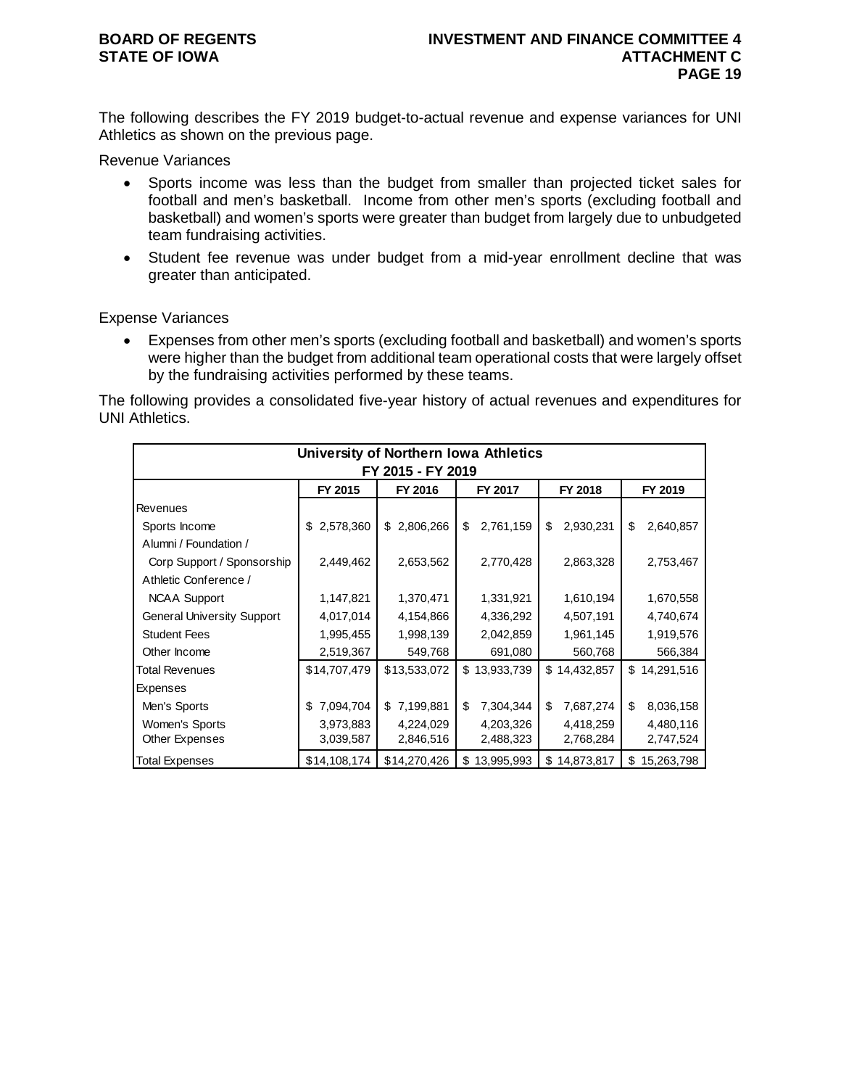The following describes the FY 2019 budget-to-actual revenue and expense variances for UNI Athletics as shown on the previous page.

Revenue Variances

- Sports income was less than the budget from smaller than projected ticket sales for football and men's basketball. Income from other men's sports (excluding football and basketball) and women's sports were greater than budget from largely due to unbudgeted team fundraising activities.
- Student fee revenue was under budget from a mid-year enrollment decline that was greater than anticipated.

Expense Variances

• Expenses from other men's sports (excluding football and basketball) and women's sports were higher than the budget from additional team operational costs that were largely offset by the fundraising activities performed by these teams.

The following provides a consolidated five-year history of actual revenues and expenditures for UNI Athletics.

|                                   |                 |                 | University of Northern Iowa Athletics |                 |                   |  |  |  |
|-----------------------------------|-----------------|-----------------|---------------------------------------|-----------------|-------------------|--|--|--|
| FY 2015 - FY 2019                 |                 |                 |                                       |                 |                   |  |  |  |
|                                   | FY 2015         | FY 2016         | FY 2017                               | FY 2018         | FY 2019           |  |  |  |
| Revenues                          |                 |                 |                                       |                 |                   |  |  |  |
| Sports Income                     | 2,578,360<br>S. | 2,806,266<br>\$ | 2,761,159<br>\$                       | \$<br>2,930,231 | \$<br>2,640,857   |  |  |  |
| Alumni / Foundation /             |                 |                 |                                       |                 |                   |  |  |  |
| Corp Support / Sponsorship        | 2,449,462       | 2,653,562       | 2,770,428                             | 2,863,328       | 2,753,467         |  |  |  |
| Athletic Conference /             |                 |                 |                                       |                 |                   |  |  |  |
| <b>NCAA Support</b>               | 1,147,821       | 1,370,471       | 1,331,921                             | 1,610,194       | 1,670,558         |  |  |  |
| <b>General University Support</b> | 4,017,014       | 4,154,866       | 4,336,292                             | 4,507,191       | 4,740,674         |  |  |  |
| <b>Student Fees</b>               | 1,995,455       | 1,998,139       | 2,042,859                             | 1,961,145       | 1,919,576         |  |  |  |
| Other Income                      | 2,519,367       | 549,768         | 691,080                               | 560,768         | 566,384           |  |  |  |
| <b>Total Revenues</b>             | \$14,707,479    | \$13,533,072    | 13,933,739<br>\$                      | \$14,432,857    | 14,291,516<br>\$  |  |  |  |
| Expenses                          |                 |                 |                                       |                 |                   |  |  |  |
| Men's Sports                      | 7,094,704<br>\$ | 7,199,881<br>\$ | \$<br>7,304,344                       | 7,687,274<br>\$ | \$<br>8,036,158   |  |  |  |
| Women's Sports                    | 3,973,883       | 4,224,029       | 4,203,326                             | 4,418,259       | 4,480,116         |  |  |  |
| <b>Other Expenses</b>             | 3,039,587       | 2,846,516       | 2,488,323                             | 2,768,284       | 2,747,524         |  |  |  |
| <b>Total Expenses</b>             | \$14,108,174    | \$14,270,426    | 13,995,993<br>\$                      | \$14,873,817    | 15,263,798<br>\$. |  |  |  |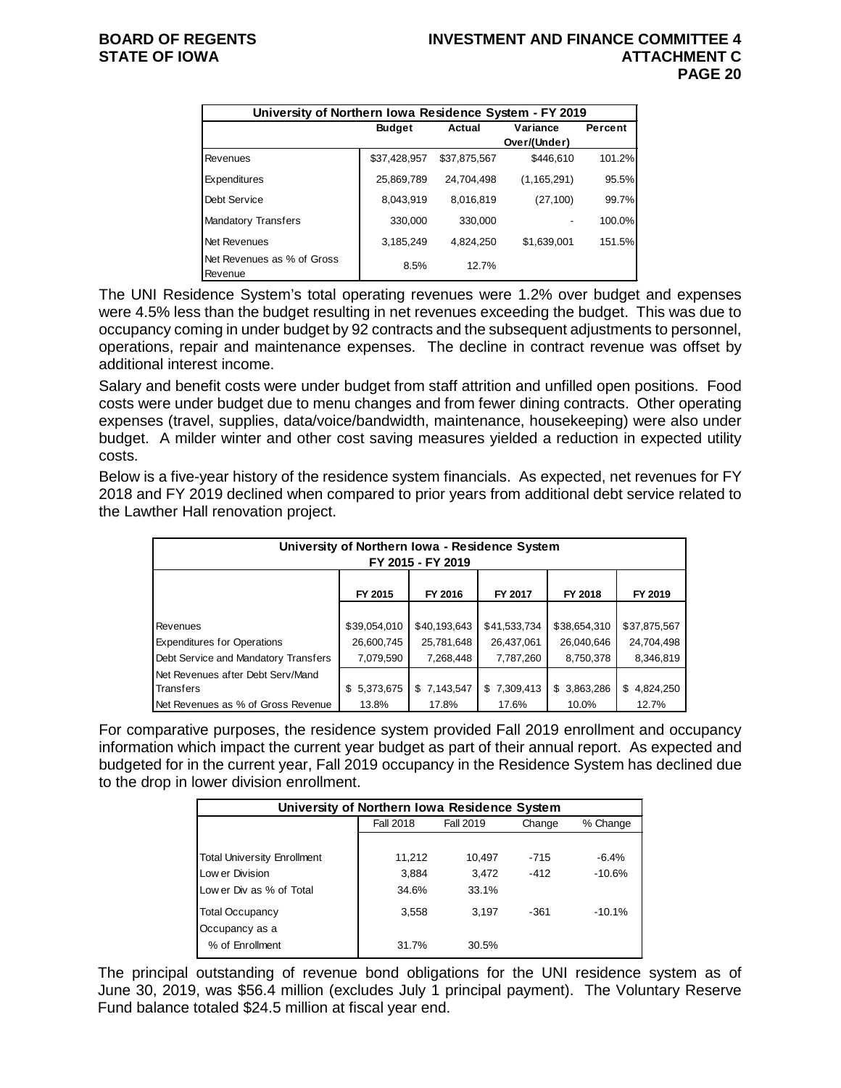|                                       | University of Northern Iowa Residence System - FY 2019 |              |               |         |  |  |  |  |  |  |
|---------------------------------------|--------------------------------------------------------|--------------|---------------|---------|--|--|--|--|--|--|
|                                       | <b>Budget</b>                                          | Actual       | Variance      | Percent |  |  |  |  |  |  |
|                                       |                                                        |              | Over/(Under)  |         |  |  |  |  |  |  |
| Revenues                              | \$37,428,957                                           | \$37,875,567 | \$446.610     | 101.2%  |  |  |  |  |  |  |
| Expenditures                          | 25,869,789                                             | 24,704,498   | (1, 165, 291) | 95.5%   |  |  |  |  |  |  |
| Debt Service                          | 8.043.919                                              | 8,016,819    | (27, 100)     | 99.7%   |  |  |  |  |  |  |
| <b>Mandatory Transfers</b>            | 330,000                                                | 330,000      |               | 100.0%  |  |  |  |  |  |  |
| Net Revenues                          | 3,185,249                                              | 4,824,250    | \$1,639,001   | 151.5%  |  |  |  |  |  |  |
| Net Revenues as % of Gross<br>Revenue | 8.5%                                                   | 12.7%        |               |         |  |  |  |  |  |  |

The UNI Residence System's total operating revenues were 1.2% over budget and expenses were 4.5% less than the budget resulting in net revenues exceeding the budget. This was due to occupancy coming in under budget by 92 contracts and the subsequent adjustments to personnel, operations, repair and maintenance expenses. The decline in contract revenue was offset by additional interest income.

Salary and benefit costs were under budget from staff attrition and unfilled open positions. Food costs were under budget due to menu changes and from fewer dining contracts. Other operating expenses (travel, supplies, data/voice/bandwidth, maintenance, housekeeping) were also under budget. A milder winter and other cost saving measures yielded a reduction in expected utility costs.

Below is a five-year history of the residence system financials. As expected, net revenues for FY 2018 and FY 2019 declined when compared to prior years from additional debt service related to the Lawther Hall renovation project.

| University of Northern Iowa - Residence System<br>FY 2015 - FY 2019                                   |                  |             |             |             |             |  |  |  |  |  |  |
|-------------------------------------------------------------------------------------------------------|------------------|-------------|-------------|-------------|-------------|--|--|--|--|--|--|
| FY 2015<br>FY 2016<br>FY 2018<br>FY 2017<br>FY 2019                                                   |                  |             |             |             |             |  |  |  |  |  |  |
|                                                                                                       |                  |             |             |             |             |  |  |  |  |  |  |
| \$40,193,643<br>\$39,054,010<br>\$41,533,734<br>\$38,654,310<br>\$37,875,567<br><b>Revenues</b>       |                  |             |             |             |             |  |  |  |  |  |  |
| <b>Expenditures for Operations</b>                                                                    | 26,600,745       | 25,781,648  | 26,437,061  | 26,040,646  | 24,704,498  |  |  |  |  |  |  |
| Debt Service and Mandatory Transfers<br>8,750,378<br>8,346,819<br>7,079,590<br>7,268,448<br>7,787,260 |                  |             |             |             |             |  |  |  |  |  |  |
| Net Revenues after Debt Serv/Mand                                                                     |                  |             |             |             |             |  |  |  |  |  |  |
| Transfers                                                                                             | 5,373,675<br>\$. | \$7,143,547 | \$7,309,413 | \$3,863,286 | \$4,824,250 |  |  |  |  |  |  |
| Net Revenues as % of Gross Revenue<br>17.8%<br>17.6%<br>10.0%<br>12.7%<br>13.8%                       |                  |             |             |             |             |  |  |  |  |  |  |

For comparative purposes, the residence system provided Fall 2019 enrollment and occupancy information which impact the current year budget as part of their annual report. As expected and budgeted for in the current year, Fall 2019 occupancy in the Residence System has declined due to the drop in lower division enrollment.

| University of Northern Iowa Residence System |                  |           |        |          |  |  |  |  |  |
|----------------------------------------------|------------------|-----------|--------|----------|--|--|--|--|--|
|                                              | <b>Fall 2018</b> | Fall 2019 | Change | % Change |  |  |  |  |  |
|                                              |                  |           |        |          |  |  |  |  |  |
| <b>Total University Enrollment</b>           | 11,212           | 10,497    | $-715$ | $-6.4%$  |  |  |  |  |  |
| Low er Division                              | 3,884            | 3.472     | $-412$ | $-10.6%$ |  |  |  |  |  |
| Low er Div as % of Total                     | 34.6%            | 33.1%     |        |          |  |  |  |  |  |
| <b>Total Occupancy</b><br>Occupancy as a     | 3,558            | 3.197     | $-361$ | $-10.1%$ |  |  |  |  |  |
| % of Enrollment                              | 31.7%            | 30.5%     |        |          |  |  |  |  |  |

The principal outstanding of revenue bond obligations for the UNI residence system as of June 30, 2019, was \$56.4 million (excludes July 1 principal payment). The Voluntary Reserve Fund balance totaled \$24.5 million at fiscal year end.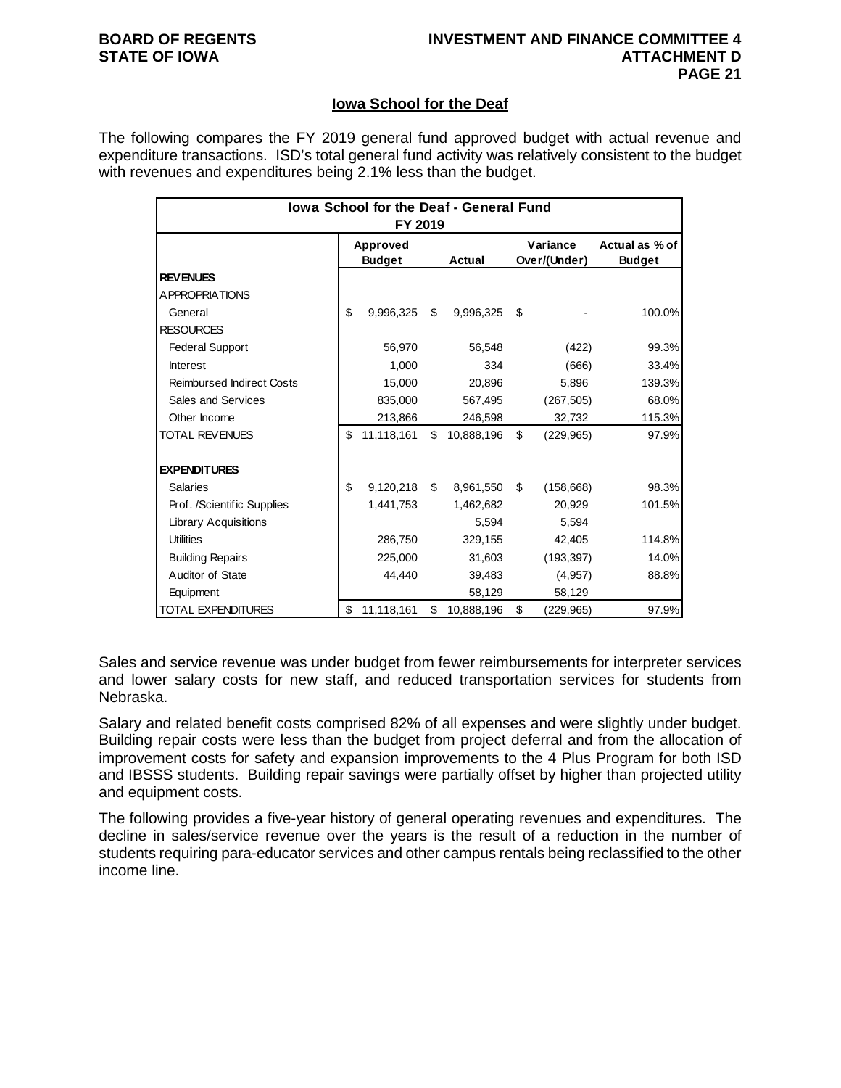## **Iowa School for the Deaf**

The following compares the FY 2019 general fund approved budget with actual revenue and expenditure transactions. ISD's total general fund activity was relatively consistent to the budget with revenues and expenditures being 2.1% less than the budget.

| lowa School for the Deaf - General Fund<br>FY 2019 |                           |            |    |            |    |                          |                                 |  |  |  |
|----------------------------------------------------|---------------------------|------------|----|------------|----|--------------------------|---------------------------------|--|--|--|
|                                                    | Approved<br><b>Budget</b> |            |    | Actual     |    | Variance<br>Over/(Under) | Actual as % of<br><b>Budget</b> |  |  |  |
| <b>REVENUES</b>                                    |                           |            |    |            |    |                          |                                 |  |  |  |
| A PPROPRIATIONS                                    |                           |            |    |            |    |                          |                                 |  |  |  |
| General                                            | \$                        | 9,996,325  | \$ | 9,996,325  | \$ |                          | 100.0%                          |  |  |  |
| <b>RESOURCES</b>                                   |                           |            |    |            |    |                          |                                 |  |  |  |
| <b>Federal Support</b>                             |                           | 56,970     |    | 56,548     |    | (422)                    | 99.3%                           |  |  |  |
| <b>Interest</b>                                    |                           | 1.000      |    | 334        |    | (666)                    | 33.4%                           |  |  |  |
| <b>Reimbursed Indirect Costs</b>                   |                           | 15,000     |    | 20,896     |    | 5,896                    | 139.3%                          |  |  |  |
| Sales and Services                                 |                           | 835,000    |    | 567,495    |    | (267, 505)               | 68.0%                           |  |  |  |
| Other Income                                       |                           | 213,866    |    | 246,598    |    | 32,732                   | 115.3%                          |  |  |  |
| <b>TOTAL REVENUES</b>                              | \$                        | 11,118,161 | \$ | 10,888,196 | \$ | (229, 965)               | 97.9%                           |  |  |  |
| <b>EXPENDITURES</b>                                |                           |            |    |            |    |                          |                                 |  |  |  |
| <b>Salaries</b>                                    | \$                        | 9,120,218  | \$ | 8,961,550  | \$ | (158, 668)               | 98.3%                           |  |  |  |
| Prof. /Scientific Supplies                         |                           | 1,441,753  |    | 1,462,682  |    | 20,929                   | 101.5%                          |  |  |  |
| <b>Library Acquisitions</b>                        |                           |            |    | 5,594      |    | 5.594                    |                                 |  |  |  |
| <b>Utilities</b>                                   |                           | 286,750    |    | 329,155    |    | 42,405                   | 114.8%                          |  |  |  |
| <b>Building Repairs</b>                            |                           | 225,000    |    | 31,603     |    | (193, 397)               | 14.0%                           |  |  |  |
| Auditor of State                                   |                           | 44,440     |    | 39,483     |    | (4,957)                  | 88.8%                           |  |  |  |
| Equipment                                          |                           |            |    | 58,129     |    | 58,129                   |                                 |  |  |  |
| <b>TOTAL EXPENDITURES</b>                          | \$                        | 11,118,161 | \$ | 10,888,196 | \$ | (229, 965)               | 97.9%                           |  |  |  |

Sales and service revenue was under budget from fewer reimbursements for interpreter services and lower salary costs for new staff, and reduced transportation services for students from Nebraska.

Salary and related benefit costs comprised 82% of all expenses and were slightly under budget. Building repair costs were less than the budget from project deferral and from the allocation of improvement costs for safety and expansion improvements to the 4 Plus Program for both ISD and IBSSS students. Building repair savings were partially offset by higher than projected utility and equipment costs.

The following provides a five-year history of general operating revenues and expenditures. The decline in sales/service revenue over the years is the result of a reduction in the number of students requiring para-educator services and other campus rentals being reclassified to the other income line.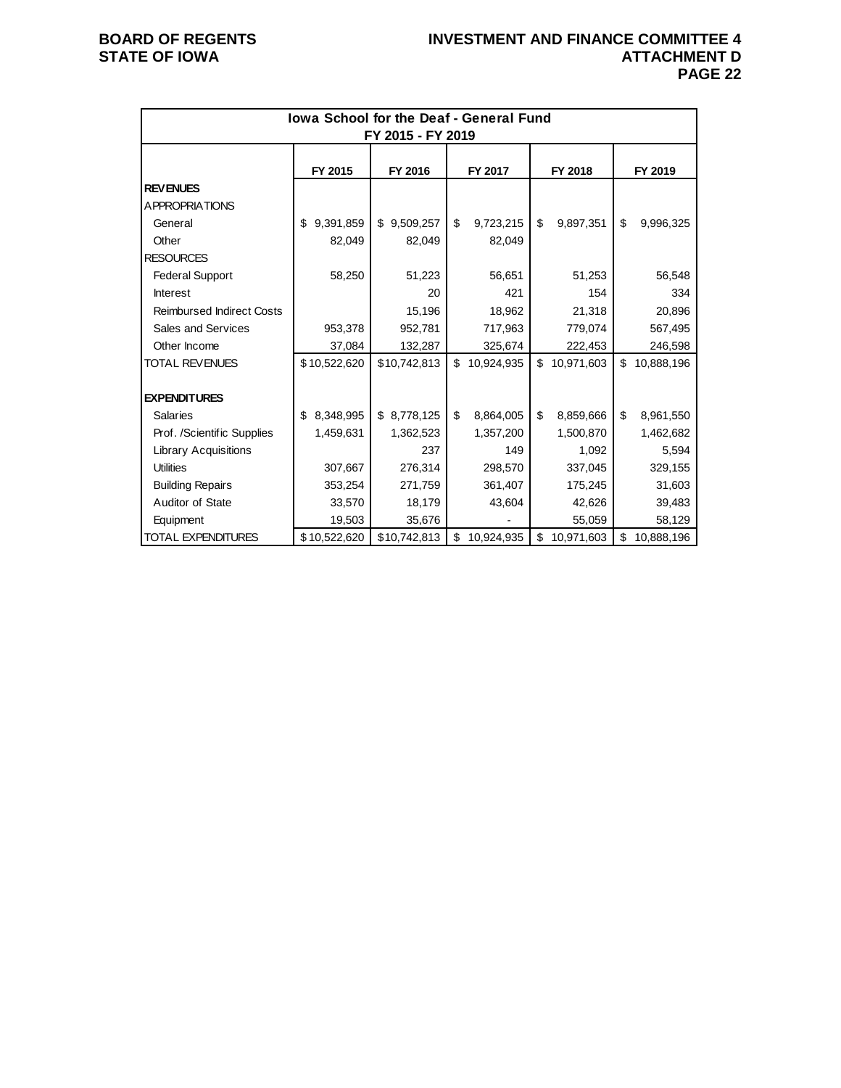| lowa School for the Deaf - General Fund<br>FY 2015 - FY 2019 |                 |              |                  |                  |                  |  |  |  |  |  |
|--------------------------------------------------------------|-----------------|--------------|------------------|------------------|------------------|--|--|--|--|--|
|                                                              |                 |              |                  |                  |                  |  |  |  |  |  |
|                                                              | FY 2015         | FY 2016      | FY 2017          | FY 2018          | FY 2019          |  |  |  |  |  |
| <b>REVENUES</b>                                              |                 |              |                  |                  |                  |  |  |  |  |  |
| A PPROPRIATIONS                                              |                 |              |                  |                  |                  |  |  |  |  |  |
| General                                                      | 9,391,859<br>\$ | \$9,509,257  | \$<br>9,723,215  | \$<br>9,897,351  | \$<br>9,996,325  |  |  |  |  |  |
| Other                                                        | 82,049          | 82,049       | 82,049           |                  |                  |  |  |  |  |  |
| <b>RESOURCES</b>                                             |                 |              |                  |                  |                  |  |  |  |  |  |
| <b>Federal Support</b>                                       | 58,250          | 51,223       | 56,651           | 51,253           | 56,548           |  |  |  |  |  |
| <b>Interest</b>                                              |                 | 20           | 421              | 154              | 334              |  |  |  |  |  |
| <b>Reimbursed Indirect Costs</b>                             |                 | 15,196       | 18,962           | 21,318           | 20,896           |  |  |  |  |  |
| Sales and Services                                           | 953,378         | 952,781      | 717,963          | 779,074          | 567,495          |  |  |  |  |  |
| Other Income                                                 | 37,084          | 132,287      | 325,674          | 222,453          | 246,598          |  |  |  |  |  |
| <b>TOTAL REVENUES</b>                                        | \$10,522,620    | \$10,742,813 | \$<br>10,924,935 | \$<br>10,971,603 | \$<br>10,888,196 |  |  |  |  |  |
|                                                              |                 |              |                  |                  |                  |  |  |  |  |  |
| <b>EXPENDITURES</b>                                          |                 |              |                  |                  |                  |  |  |  |  |  |
| <b>Salaries</b>                                              | 8,348,995<br>\$ | \$8,778,125  | \$<br>8,864,005  | \$<br>8,859,666  | \$<br>8,961,550  |  |  |  |  |  |
| Prof. /Scientific Supplies                                   | 1,459,631       | 1,362,523    | 1,357,200        | 1,500,870        | 1,462,682        |  |  |  |  |  |
| <b>Library Acquisitions</b>                                  |                 | 237          | 149              | 1,092            | 5,594            |  |  |  |  |  |
| <b>Utilities</b>                                             | 307,667         | 276,314      | 298,570          | 337,045          | 329,155          |  |  |  |  |  |
| <b>Building Repairs</b>                                      | 353,254         | 271,759      | 361,407          | 175,245          | 31,603           |  |  |  |  |  |
| Auditor of State                                             | 33,570          | 18,179       | 43,604           | 42,626           | 39,483           |  |  |  |  |  |
| Equipment                                                    | 19,503          | 35,676       |                  | 55,059           | 58,129           |  |  |  |  |  |
| <b>TOTAL EXPENDITURES</b>                                    | \$10,522,620    | \$10,742,813 | \$<br>10,924,935 | \$<br>10,971,603 | \$<br>10,888,196 |  |  |  |  |  |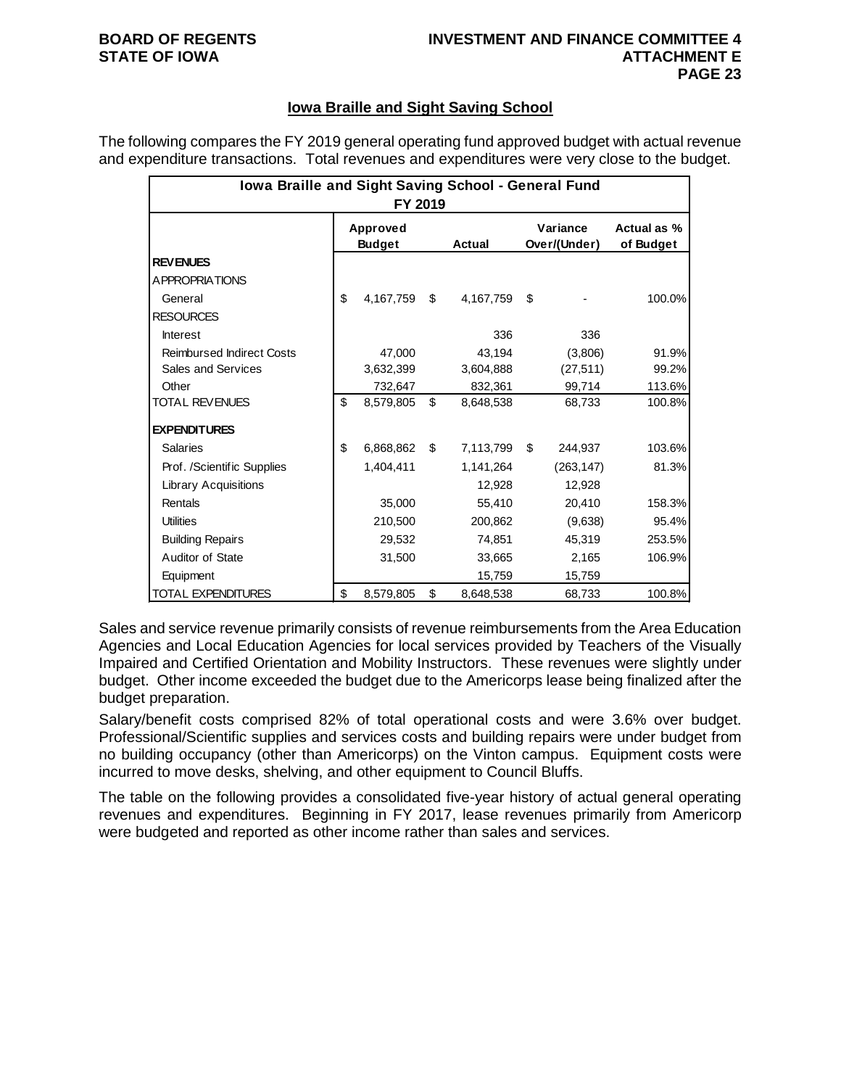## **BOARD OF REGENTS INVESTMENT AND FINANCE COMMITTEE 4 PAGE 23**

## **Iowa Braille and Sight Saving School**

The following compares the FY 2019 general operating fund approved budget with actual revenue and expenditure transactions. Total revenues and expenditures were very close to the budget.

| Iowa Braille and Sight Saving School - General Fund<br>FY 2019 |                           |           |    |           |    |                          |                          |  |  |
|----------------------------------------------------------------|---------------------------|-----------|----|-----------|----|--------------------------|--------------------------|--|--|
|                                                                | Approved<br><b>Budget</b> |           |    | Actual    |    | Variance<br>Over/(Under) | Actual as %<br>of Budget |  |  |
| <b>REVENUES</b>                                                |                           |           |    |           |    |                          |                          |  |  |
| A PPROPRIATIONS                                                |                           |           |    |           |    |                          |                          |  |  |
| General                                                        | \$                        | 4.167.759 | \$ | 4,167,759 | \$ |                          | 100.0%                   |  |  |
| <b>RESOURCES</b>                                               |                           |           |    |           |    |                          |                          |  |  |
| <b>Interest</b>                                                |                           |           |    | 336       |    | 336                      |                          |  |  |
| <b>Reimbursed Indirect Costs</b>                               |                           | 47,000    |    | 43,194    |    | (3,806)                  | 91.9%                    |  |  |
| Sales and Services                                             |                           | 3,632,399 |    | 3,604,888 |    | (27, 511)                | 99.2%                    |  |  |
| Other                                                          |                           | 732,647   |    | 832,361   |    | 99,714                   | 113.6%                   |  |  |
| <b>TOTAL REVENUES</b>                                          | \$<br>8,579,805           |           | \$ | 8,648,538 |    | 68,733                   | 100.8%                   |  |  |
| <b>EXPENDITURES</b>                                            |                           |           |    |           |    |                          |                          |  |  |
| Salaries                                                       | \$                        | 6,868,862 | \$ | 7,113,799 | \$ | 244,937                  | 103.6%                   |  |  |
| Prof. /Scientific Supplies                                     |                           | 1,404,411 |    | 1,141,264 |    | (263, 147)               | 81.3%                    |  |  |
| Library Acquisitions                                           |                           |           |    | 12,928    |    | 12,928                   |                          |  |  |
| Rentals                                                        |                           | 35,000    |    | 55,410    |    | 20,410                   | 158.3%                   |  |  |
| <b>Utilities</b>                                               |                           | 210,500   |    | 200,862   |    | (9,638)                  | 95.4%                    |  |  |
| <b>Building Repairs</b>                                        |                           | 29,532    |    | 74,851    |    | 45,319                   | 253.5%                   |  |  |
| Auditor of State                                               |                           | 31,500    |    | 33,665    |    | 2,165                    | 106.9%                   |  |  |
| Equipment                                                      |                           |           |    | 15,759    |    | 15,759                   |                          |  |  |
| <b>TOTAL EXPENDITURES</b>                                      | \$                        | 8,579,805 | \$ | 8,648,538 |    | 68,733                   | 100.8%                   |  |  |

Sales and service revenue primarily consists of revenue reimbursements from the Area Education Agencies and Local Education Agencies for local services provided by Teachers of the Visually Impaired and Certified Orientation and Mobility Instructors. These revenues were slightly under budget. Other income exceeded the budget due to the Americorps lease being finalized after the budget preparation.

Salary/benefit costs comprised 82% of total operational costs and were 3.6% over budget. Professional/Scientific supplies and services costs and building repairs were under budget from no building occupancy (other than Americorps) on the Vinton campus. Equipment costs were incurred to move desks, shelving, and other equipment to Council Bluffs.

The table on the following provides a consolidated five-year history of actual general operating revenues and expenditures. Beginning in FY 2017, lease revenues primarily from Americorp were budgeted and reported as other income rather than sales and services.